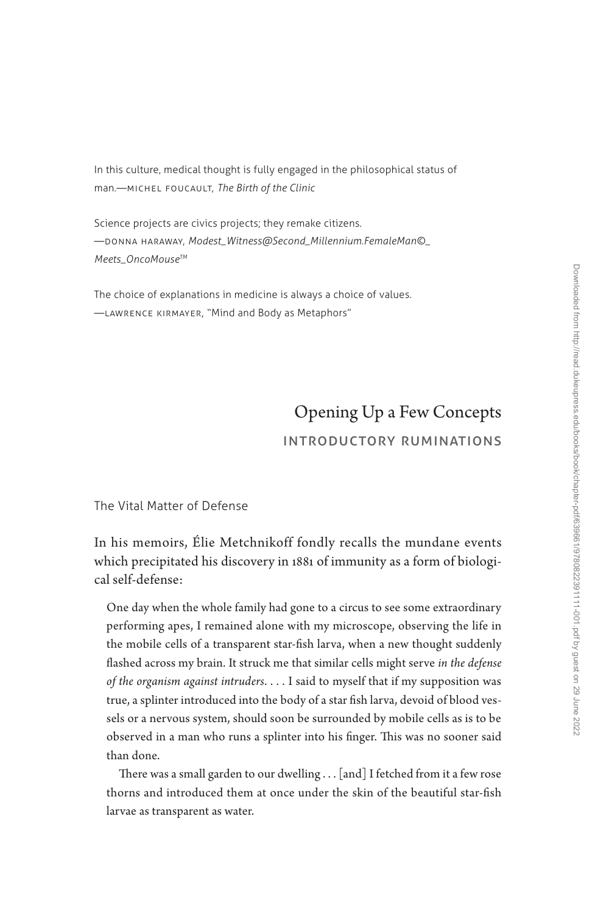In this culture, medical thought is fully engaged in the philosophical status of man.—michel foucault, *The Birth of the Clinic*

Science projects are civics projects; they remake citizens. —donna haraway, *Modest\_Witness@Second\_Millennium.FemaleMan©\_ Meets\_OncoMouseTM*

The choice of explanations in medicine is always a choice of values. —lawrence kirmayer, "Mind and Body as Metaphors"

# Opening Up a Few Concepts Introductory Ruminations

The Vital Matter of Defense

In his memoirs, Élie Metchnikoff fondly recalls the mundane events which precipitated his discovery in 1881 of immunity as a form of biological self-defense:

One day when the whole family had gone to a circus to see some extraordinary performing apes, I remained alone with my microscope, observing the life in the mobile cells of a transparent star-fish larva, when a new thought suddenly flashed across my brain. It struck me that similar cells might serve *in the defense of the organism against intruders*. . . . I said to myself that if my supposition was true, a splinter introduced into the body of a star fish larva, devoid of blood vessels or a nervous system, should soon be surrounded by mobile cells as is to be observed in a man who runs a splinter into his finger. This was no sooner said than done.

There was a small garden to our dwelling . . . [and] I fetched from it a few rose thorns and introduced them at once under the skin of the beautiful star-fish larvae as transparent as water.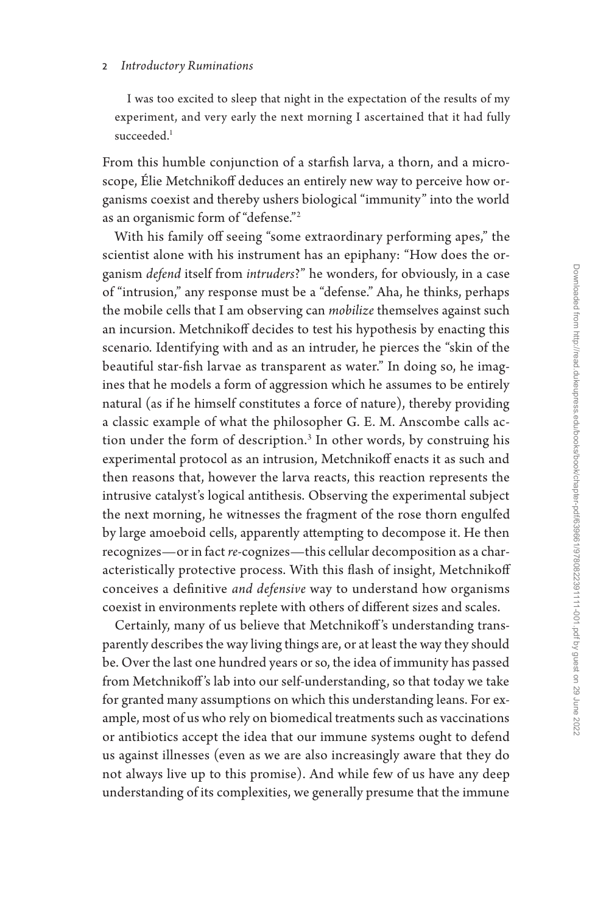I was too excited to sleep that night in the expectation of the results of my experiment, and very early the next morning I ascertained that it had fully succeeded.<sup>1</sup>

From this humble conjunction of a starfish larva, a thorn, and a microscope, Élie Metchnikoff deduces an entirely new way to perceive how organisms coexist and thereby ushers biological "immunity" into the world as an organismic form of "defense."2

With his family off seeing "some extraordinary performing apes," the scientist alone with his instrument has an epiphany: "How does the organism *defend* itself from *intruders*?" he wonders, for obviously, in a case of "intrusion," any response must be a "defense." Aha, he thinks, perhaps the mobile cells that I am observing can *mobilize* themselves against such an incursion. Metchnikoff decides to test his hypothesis by enacting this scenario. Identifying with and as an intruder, he pierces the "skin of the beautiful star-fish larvae as transparent as water." In doing so, he imagines that he models a form of aggression which he assumes to be entirely natural (as if he himself constitutes a force of nature), thereby providing a classic example of what the philosopher G. E. M. Anscombe calls action under the form of description.<sup>3</sup> In other words, by construing his experimental protocol as an intrusion, Metchnikoff enacts it as such and then reasons that, however the larva reacts, this reaction represents the intrusive catalyst's logical antithesis. Observing the experimental subject the next morning, he witnesses the fragment of the rose thorn engulfed by large amoeboid cells, apparently attempting to decompose it. He then recognizes—or in fact *re-*cognizes—this cellular decomposition as a characteristically protective process. With this flash of insight, Metchnikoff conceives a definitive *and defensive* way to understand how organisms coexist in environments replete with others of different sizes and scales.

Certainly, many of us believe that Metchnikoff 's understanding transparently describes the way living things are, or at least the way they should be. Over the last one hundred years or so, the idea of immunity has passed from Metchnikoff 's lab into our self-understanding, so that today we take for granted many assumptions on which this understanding leans. For example, most of us who rely on biomedical treatments such as vaccinations or antibiotics accept the idea that our immune systems ought to defend us against illnesses (even as we are also increasingly aware that they do not always live up to this promise). And while few of us have any deep understanding of its complexities, we generally presume that the immune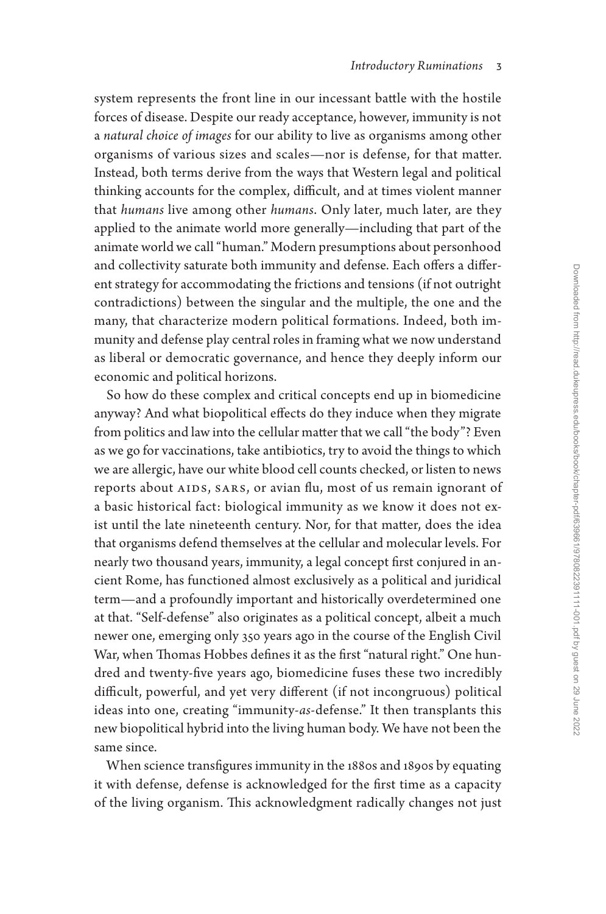system represents the front line in our incessant battle with the hostile forces of disease. Despite our ready acceptance, however, immunity is not a *natural choice of images* for our ability to live as organisms among other organisms of various sizes and scales—nor is defense, for that matter. Instead, both terms derive from the ways that Western legal and political thinking accounts for the complex, difficult, and at times violent manner that *humans* live among other *humans*. Only later, much later, are they applied to the animate world more generally—including that part of the animate world we call "human." Modern presumptions about personhood and collectivity saturate both immunity and defense. Each offers a different strategy for accommodating the frictions and tensions (if not outright contradictions) between the singular and the multiple, the one and the many, that characterize modern political formations. Indeed, both immunity and defense play central roles in framing what we now understand as liberal or democratic governance, and hence they deeply inform our economic and political horizons.

So how do these complex and critical concepts end up in biomedicine anyway? And what biopolitical effects do they induce when they migrate from politics and law into the cellular matter that we call "the body"? Even as we go for vaccinations, take antibiotics, try to avoid the things to which we are allergic, have our white blood cell counts checked, or listen to news reports about AIDS, SARS, or avian flu, most of us remain ignorant of a basic historical fact: biological immunity as we know it does not exist until the late nineteenth century. Nor, for that matter, does the idea that organisms defend themselves at the cellular and molecular levels. For nearly two thousand years, immunity, a legal concept first conjured in ancient Rome, has functioned almost exclusively as a political and juridical term—and a profoundly important and historically overdetermined one at that. "Self-defense" also originates as a political concept, albeit a much newer one, emerging only 350 years ago in the course of the English Civil War, when Thomas Hobbes defines it as the first "natural right." One hundred and twenty-five years ago, biomedicine fuses these two incredibly difficult, powerful, and yet very different (if not incongruous) political ideas into one, creating "immunity-*as*-defense." It then transplants this new biopolitical hybrid into the living human body. We have not been the same since.

When science transfigures immunity in the 1880s and 1890s by equating it with defense, defense is acknowledged for the first time as a capacity of the living organism. This acknowledgment radically changes not just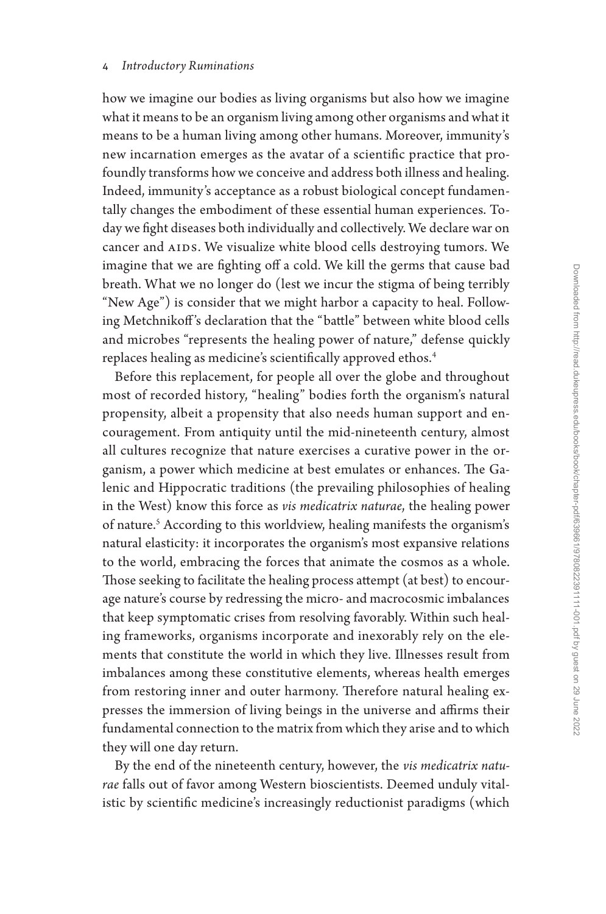how we imagine our bodies as living organisms but also how we imagine what it means to be an organism living among other organisms and what it means to be a human living among other humans. Moreover, immunity's new incarnation emerges as the avatar of a scientific practice that profoundly transforms how we conceive and address both illness and healing. Indeed, immunity's acceptance as a robust biological concept fundamentally changes the embodiment of these essential human experiences. Today we fight diseases both individually and collectively. We declare war on cancer and AIDS. We visualize white blood cells destroying tumors. We imagine that we are fighting off a cold. We kill the germs that cause bad breath. What we no longer do (lest we incur the stigma of being terribly "New Age") is consider that we might harbor a capacity to heal. Following Metchnikoff 's declaration that the "battle" between white blood cells and microbes "represents the healing power of nature," defense quickly replaces healing as medicine's scientifically approved ethos.<sup>4</sup>

Before this replacement, for people all over the globe and throughout most of recorded history, "healing" bodies forth the organism's natural propensity, albeit a propensity that also needs human support and encouragement. From antiquity until the mid-nineteenth century, almost all cultures recognize that nature exercises a curative power in the organism, a power which medicine at best emulates or enhances. The Galenic and Hippocratic traditions (the prevailing philosophies of healing in the West) know this force as *vis medicatrix naturae*, the healing power of nature.<sup>5</sup> According to this worldview, healing manifests the organism's natural elasticity: it incorporates the organism's most expansive relations to the world, embracing the forces that animate the cosmos as a whole. Those seeking to facilitate the healing process attempt (at best) to encourage nature's course by redressing the micro- and macrocosmic imbalances that keep symptomatic crises from resolving favorably. Within such healing frameworks, organisms incorporate and inexorably rely on the elements that constitute the world in which they live. Illnesses result from imbalances among these constitutive elements, whereas health emerges from restoring inner and outer harmony. Therefore natural healing expresses the immersion of living beings in the universe and affirms their fundamental connection to the matrix from which they arise and to which they will one day return.

By the end of the nineteenth century, however, the *vis medicatrix naturae* falls out of favor among Western bioscientists. Deemed unduly vitalistic by scientific medicine's increasingly reductionist paradigms (which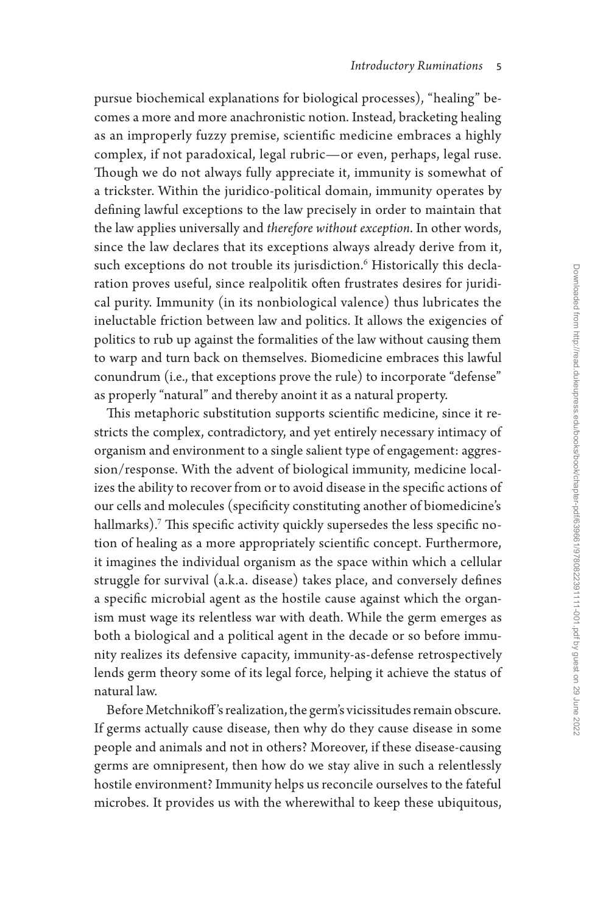pursue biochemical explanations for biological processes), "healing" becomes a more and more anachronistic notion. Instead, bracketing healing as an improperly fuzzy premise, scientific medicine embraces a highly complex, if not paradoxical, legal rubric—or even, perhaps, legal ruse. Though we do not always fully appreciate it, immunity is somewhat of a trickster. Within the juridico-political domain, immunity operates by defining lawful exceptions to the law precisely in order to maintain that the law applies universally and *therefore without exception*. In other words, since the law declares that its exceptions always already derive from it, such exceptions do not trouble its jurisdiction.<sup>6</sup> Historically this declaration proves useful, since realpolitik often frustrates desires for juridical purity. Immunity (in its nonbiological valence) thus lubricates the ineluctable friction between law and politics. It allows the exigencies of politics to rub up against the formalities of the law without causing them to warp and turn back on themselves. Biomedicine embraces this lawful conundrum (i.e., that exceptions prove the rule) to incorporate "defense" as properly "natural" and thereby anoint it as a natural property.

This metaphoric substitution supports scientific medicine, since it restricts the complex, contradictory, and yet entirely necessary intimacy of organism and environment to a single salient type of engagement: aggression/response. With the advent of biological immunity, medicine localizes the ability to recover from or to avoid disease in the specific actions of our cells and molecules (specificity constituting another of biomedicine's hallmarks).7 This specific activity quickly supersedes the less specific notion of healing as a more appropriately scientific concept. Furthermore, it imagines the individual organism as the space within which a cellular struggle for survival (a.k.a. disease) takes place, and conversely defines a specific microbial agent as the hostile cause against which the organism must wage its relentless war with death. While the germ emerges as both a biological and a political agent in the decade or so before immunity realizes its defensive capacity, immunity-as-defense retrospectively lends germ theory some of its legal force, helping it achieve the status of natural law.

Before Metchnikoff 's realization, the germ's vicissitudes remain obscure. If germs actually cause disease, then why do they cause disease in some people and animals and not in others? Moreover, if these disease-causing germs are omnipresent, then how do we stay alive in such a relentlessly hostile environment? Immunity helps us reconcile ourselves to the fateful microbes. It provides us with the wherewithal to keep these ubiquitous,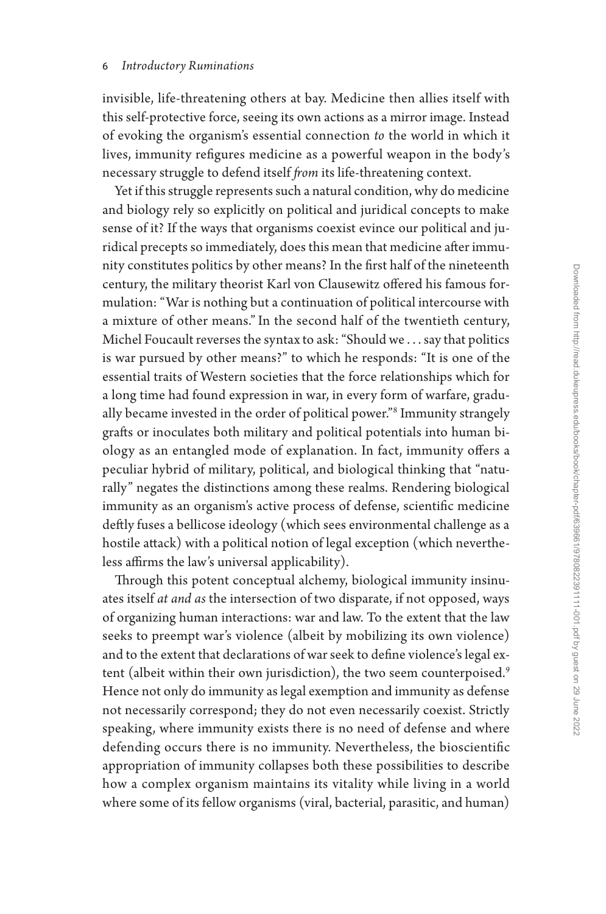invisible, life-threatening others at bay. Medicine then allies itself with this self-protective force, seeing its own actions as a mirror image. Instead of evoking the organism's essential connection *to* the world in which it lives, immunity refigures medicine as a powerful weapon in the body's necessary struggle to defend itself *from* its life-threatening context.

Yet if this struggle represents such a natural condition, why do medicine and biology rely so explicitly on political and juridical concepts to make sense of it? If the ways that organisms coexist evince our political and juridical precepts so immediately, does this mean that medicine after immunity constitutes politics by other means? In the first half of the nineteenth century, the military theorist Karl von Clausewitz offered his famous formulation: "War is nothing but a continuation of political intercourse with a mixture of other means."In the second half of the twentieth century, Michel Foucault reverses the syntax to ask: "Should we . . . say that politics is war pursued by other means?" to which he responds: "It is one of the essential traits of Western societies that the force relationships which for a long time had found expression in war, in every form of warfare, gradually became invested in the order of political power."8 Immunity strangely grafts or inoculates both military and political potentials into human biology as an entangled mode of explanation. In fact, immunity offers a peculiar hybrid of military, political, and biological thinking that "naturally" negates the distinctions among these realms. Rendering biological immunity as an organism's active process of defense, scientific medicine deftly fuses a bellicose ideology (which sees environmental challenge as a hostile attack) with a political notion of legal exception (which nevertheless affirms the law's universal applicability).

Through this potent conceptual alchemy, biological immunity insinuates itself *at and as* the intersection of two disparate, if not opposed, ways of organizing human interactions: war and law. To the extent that the law seeks to preempt war's violence (albeit by mobilizing its own violence) and to the extent that declarations of war seek to define violence's legal extent (albeit within their own jurisdiction), the two seem counterpoised.<sup>9</sup> Hence not only do immunity as legal exemption and immunity as defense not necessarily correspond; they do not even necessarily coexist. Strictly speaking, where immunity exists there is no need of defense and where defending occurs there is no immunity. Nevertheless, the bioscientific appropriation of immunity collapses both these possibilities to describe how a complex organism maintains its vitality while living in a world where some of its fellow organisms (viral, bacterial, parasitic, and human)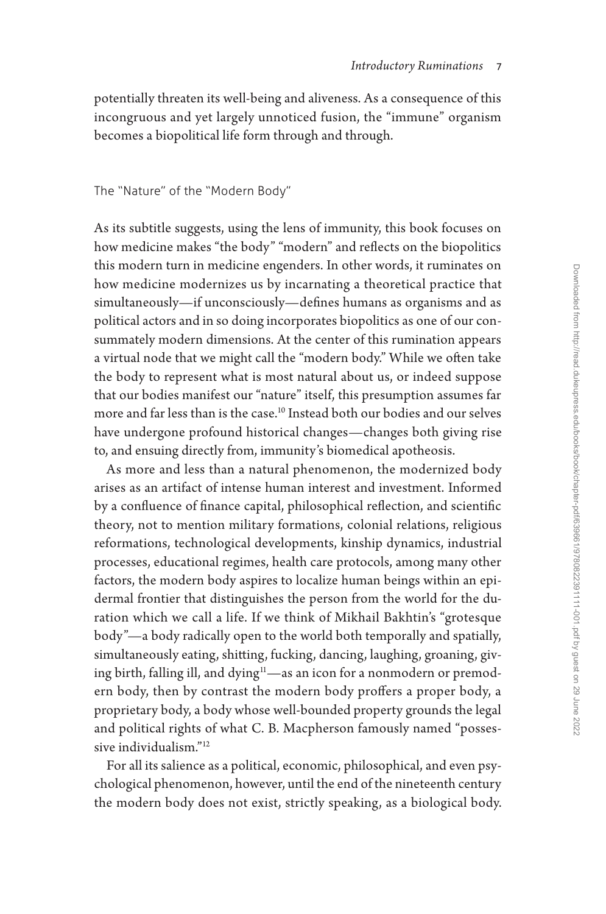potentially threaten its well-being and aliveness. As a consequence of this incongruous and yet largely unnoticed fusion, the "immune" organism becomes a biopolitical life form through and through.

### The "Nature" of the "Modern Body"

As its subtitle suggests, using the lens of immunity, this book focuses on how medicine makes "the body" "modern" and reflects on the biopolitics this modern turn in medicine engenders. In other words, it ruminates on how medicine modernizes us by incarnating a theoretical practice that simultaneously—if unconsciously—defines humans as organisms and as political actors and in so doing incorporates biopolitics as one of our consummately modern dimensions. At the center of this rumination appears a virtual node that we might call the "modern body." While we often take the body to represent what is most natural about us, or indeed suppose that our bodies manifest our "nature" itself, this presumption assumes far more and far less than is the case.10 Instead both our bodies and our selves have undergone profound historical changes—changes both giving rise to, and ensuing directly from, immunity's biomedical apotheosis.

As more and less than a natural phenomenon, the modernized body arises as an artifact of intense human interest and investment. Informed by a confluence of finance capital, philosophical reflection, and scientific theory, not to mention military formations, colonial relations, religious reformations, technological developments, kinship dynamics, industrial processes, educational regimes, health care protocols, among many other factors, the modern body aspires to localize human beings within an epidermal frontier that distinguishes the person from the world for the duration which we call a life. If we think of Mikhail Bakhtin's "grotesque body"—a body radically open to the world both temporally and spatially, simultaneously eating, shitting, fucking, dancing, laughing, groaning, giving birth, falling ill, and dying<sup>11</sup>—as an icon for a nonmodern or premodern body, then by contrast the modern body proffers a proper body, a proprietary body, a body whose well-bounded property grounds the legal and political rights of what C. B. Macpherson famously named "possessive individualism."<sup>12</sup>

For all its salience as a political, economic, philosophical, and even psychological phenomenon, however, until the end of the nineteenth century the modern body does not exist, strictly speaking, as a biological body.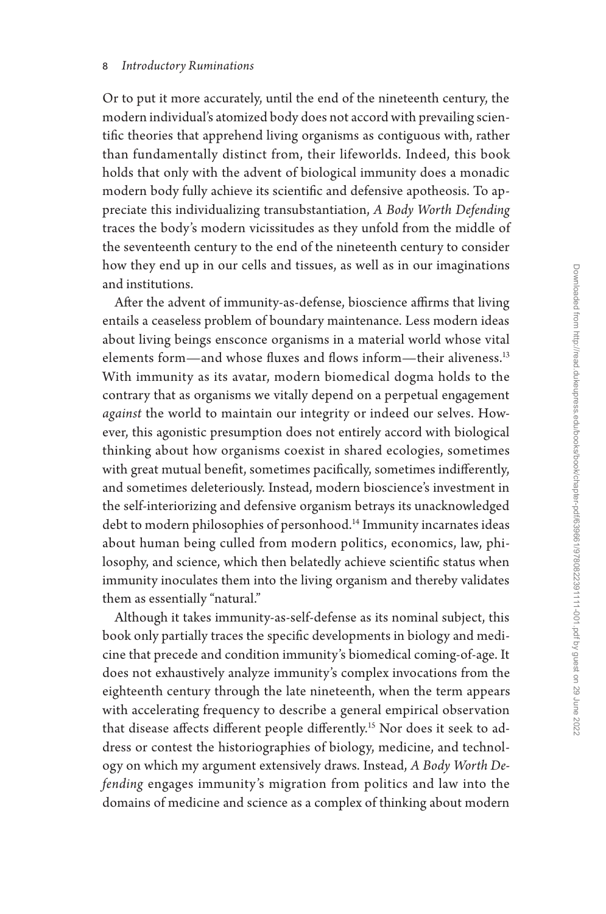Or to put it more accurately, until the end of the nineteenth century, the modern individual's atomized body does not accord with prevailing scientific theories that apprehend living organisms as contiguous with, rather than fundamentally distinct from, their lifeworlds. Indeed, this book holds that only with the advent of biological immunity does a monadic modern body fully achieve its scientific and defensive apotheosis. To appreciate this individualizing transubstantiation, *A Body Worth Defending* traces the body's modern vicissitudes as they unfold from the middle of the seventeenth century to the end of the nineteenth century to consider how they end up in our cells and tissues, as well as in our imaginations and institutions.

After the advent of immunity-as-defense, bioscience affirms that living entails a ceaseless problem of boundary maintenance. Less modern ideas about living beings ensconce organisms in a material world whose vital elements form—and whose fluxes and flows inform—their aliveness.13 With immunity as its avatar, modern biomedical dogma holds to the contrary that as organisms we vitally depend on a perpetual engagement *against* the world to maintain our integrity or indeed our selves. However, this agonistic presumption does not entirely accord with biological thinking about how organisms coexist in shared ecologies, sometimes with great mutual benefit, sometimes pacifically, sometimes indifferently, and sometimes deleteriously. Instead, modern bioscience's investment in the self-interiorizing and defensive organism betrays its unacknowledged debt to modern philosophies of personhood.<sup>14</sup> Immunity incarnates ideas about human being culled from modern politics, economics, law, philosophy, and science, which then belatedly achieve scientific status when immunity inoculates them into the living organism and thereby validates them as essentially "natural."

Although it takes immunity-as-self-defense as its nominal subject, this book only partially traces the specific developments in biology and medicine that precede and condition immunity's biomedical coming-of-age. It does not exhaustively analyze immunity's complex invocations from the eighteenth century through the late nineteenth, when the term appears with accelerating frequency to describe a general empirical observation that disease affects different people differently.15 Nor does it seek to address or contest the historiographies of biology, medicine, and technology on which my argument extensively draws. Instead, *A Body Worth Defending* engages immunity's migration from politics and law into the domains of medicine and science as a complex of thinking about modern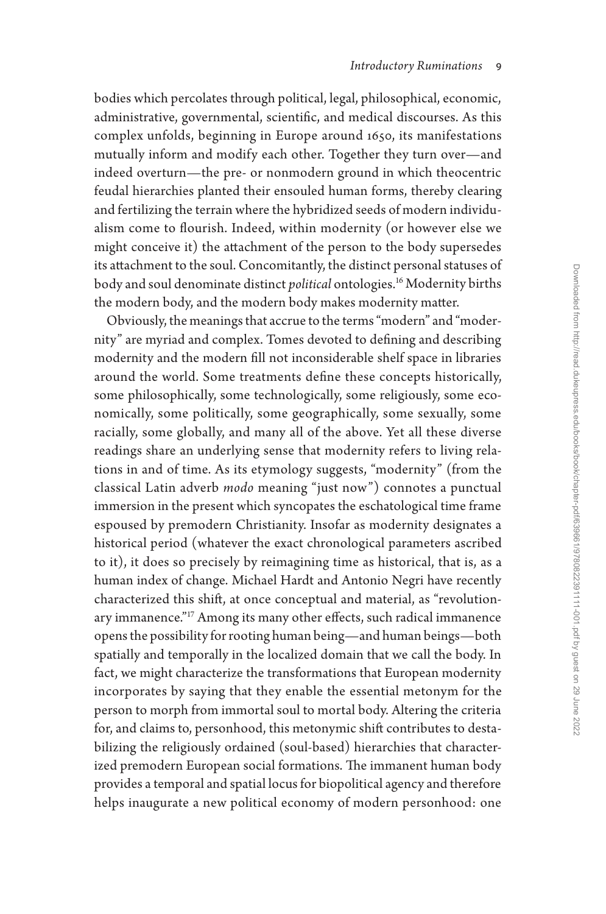bodies which percolates through political, legal, philosophical, economic, administrative, governmental, scientific, and medical discourses. As this complex unfolds, beginning in Europe around 1650, its manifestations mutually inform and modify each other. Together they turn over—and indeed overturn—the pre- or nonmodern ground in which theocentric feudal hierarchies planted their ensouled human forms, thereby clearing and fertilizing the terrain where the hybridized seeds of modern individualism come to flourish. Indeed, within modernity (or however else we might conceive it) the attachment of the person to the body supersedes its attachment to the soul. Concomitantly, the distinct personal statuses of body and soul denominate distinct *political* ontologies.16 Modernity births the modern body, and the modern body makes modernity matter.

Obviously, the meanings that accrue to the terms "modern" and "modernity" are myriad and complex. Tomes devoted to defining and describing modernity and the modern fill not inconsiderable shelf space in libraries around the world. Some treatments define these concepts historically, some philosophically, some technologically, some religiously, some economically, some politically, some geographically, some sexually, some racially, some globally, and many all of the above. Yet all these diverse readings share an underlying sense that modernity refers to living relations in and of time. As its etymology suggests, "modernity" (from the classical Latin adverb *modo* meaning "just now") connotes a punctual immersion in the present which syncopates the eschatological time frame espoused by premodern Christianity. Insofar as modernity designates a historical period (whatever the exact chronological parameters ascribed to it), it does so precisely by reimagining time as historical, that is, as a human index of change. Michael Hardt and Antonio Negri have recently characterized this shift, at once conceptual and material, as "revolutionary immanence."17 Among its many other effects, such radical immanence opens the possibility for rooting human being—and human beings—both spatially and temporally in the localized domain that we call the body. In fact, we might characterize the transformations that European modernity incorporates by saying that they enable the essential metonym for the person to morph from immortal soul to mortal body. Altering the criteria for, and claims to, personhood, this metonymic shift contributes to destabilizing the religiously ordained (soul-based) hierarchies that characterized premodern European social formations. The immanent human body provides a temporal and spatial locus for biopolitical agency and therefore helps inaugurate a new political economy of modern personhood: one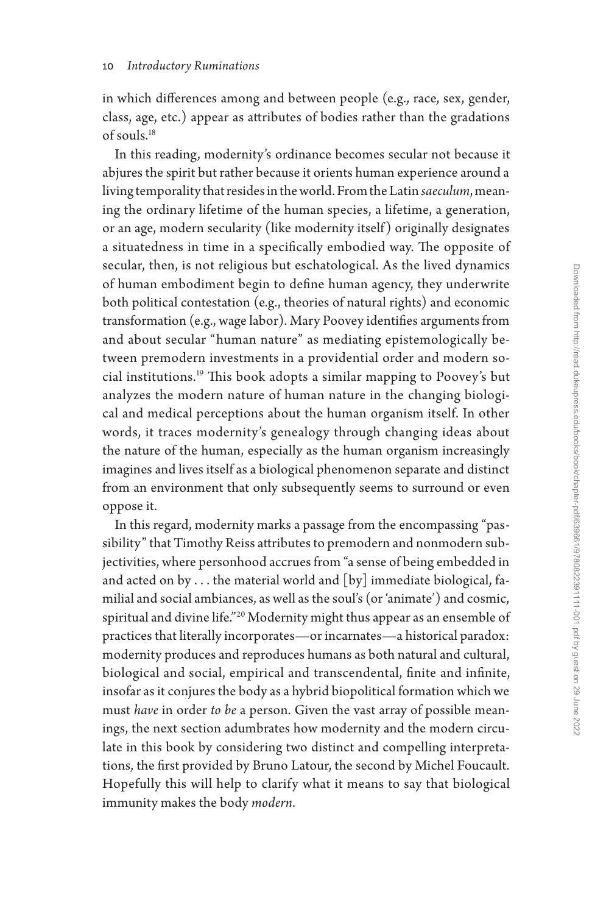in which differences among and between people (e.g., race, sex, gender, class, age, etc.) appear as attributes of bodies rather than the gradations of souls.18

In this reading, modernity's ordinance becomes secular not because it abjures the spirit but rather because it orients human experience around a living temporality that resides in the world. From the Latin *saeculum*, meaning the ordinary lifetime of the human species, a lifetime, a generation, or an age, modern secularity (like modernity itself ) originally designates a situatedness in time in a specifically embodied way. The opposite of secular, then, is not religious but eschatological. As the lived dynamics of human embodiment begin to define human agency, they underwrite both political contestation (e.g., theories of natural rights) and economic transformation (e.g., wage labor). Mary Poovey identifies arguments from and about secular "human nature" as mediating epistemologically between premodern investments in a providential order and modern social institutions.19 This book adopts a similar mapping to Poovey's but analyzes the modern nature of human nature in the changing biological and medical perceptions about the human organism itself. In other words, it traces modernity's genealogy through changing ideas about the nature of the human, especially as the human organism increasingly imagines and lives itself as a biological phenomenon separate and distinct from an environment that only subsequently seems to surround or even oppose it.

In this regard, modernity marks a passage from the encompassing "passibility" that Timothy Reiss attributes to premodern and nonmodern subjectivities, where personhood accrues from "a sense of being embedded in and acted on by  $\dots$  the material world and  $[$  by $]$  immediate biological, familial and social ambiances, as well as the soul's (or 'animate') and cosmic, spiritual and divine life."<sup>20</sup> Modernity might thus appear as an ensemble of practices that literally incorporates—or incarnates—a historical paradox: modernity produces and reproduces humans as both natural and cultural, biological and social, empirical and transcendental, finite and infinite, insofar as it conjures the body as a hybrid biopolitical formation which we must *have* in order *to be* a person. Given the vast array of possible meanings, the next section adumbrates how modernity and the modern circulate in this book by considering two distinct and compelling interpretations, the first provided by Bruno Latour, the second by Michel Foucault. Hopefully this will help to clarify what it means to say that biological immunity makes the body *modern*.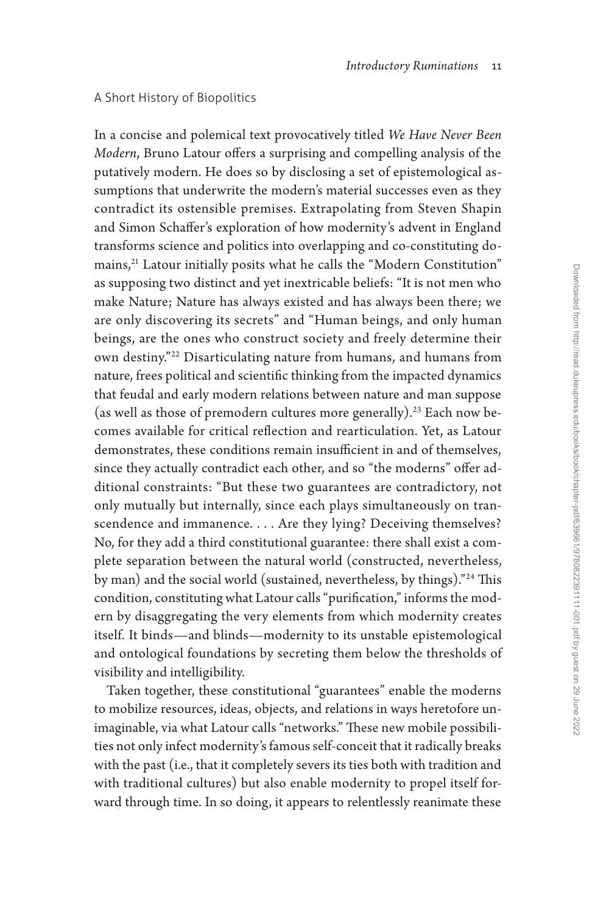#### A Short History of Biopolitics

In a concise and polemical text provocatively titled *We Have Never Been Modern*, Bruno Latour offers a surprising and compelling analysis of the putatively modern. He does so by disclosing a set of epistemological assumptions that underwrite the modern's material successes even as they contradict its ostensible premises. Extrapolating from Steven Shapin and Simon Schaffer's exploration of how modernity's advent in England transforms science and politics into overlapping and co-constituting domains,<sup>21</sup> Latour initially posits what he calls the "Modern Constitution" as supposing two distinct and yet inextricable beliefs: "It is not men who make Nature; Nature has always existed and has always been there; we are only discovering its secrets" and "Human beings, and only human beings, are the ones who construct society and freely determine their own destiny."22 Disarticulating nature from humans, and humans from nature, frees political and scientific thinking from the impacted dynamics that feudal and early modern relations between nature and man suppose (as well as those of premodern cultures more generally).<sup>23</sup> Each now becomes available for critical reflection and rearticulation. Yet, as Latour demonstrates, these conditions remain insufficient in and of themselves, since they actually contradict each other, and so "the moderns" offer additional constraints: "But these two guarantees are contradictory, not only mutually but internally, since each plays simultaneously on transcendence and immanence. . . . Are they lying? Deceiving themselves? No, for they add a third constitutional guarantee: there shall exist a complete separation between the natural world (constructed, nevertheless, by man) and the social world (sustained, nevertheless, by things)."24 This condition, constituting what Latour calls "purification," informs the modern by disaggregating the very elements from which modernity creates itself. It binds—and blinds—modernity to its unstable epistemological and ontological foundations by secreting them below the thresholds of visibility and intelligibility.

Taken together, these constitutional "guarantees" enable the moderns to mobilize resources, ideas, objects, and relations in ways heretofore unimaginable, via what Latour calls "networks." These new mobile possibilities not only infect modernity's famous self-conceit that it radically breaks with the past (i.e., that it completely severs its ties both with tradition and with traditional cultures) but also enable modernity to propel itself forward through time. In so doing, it appears to relentlessly reanimate these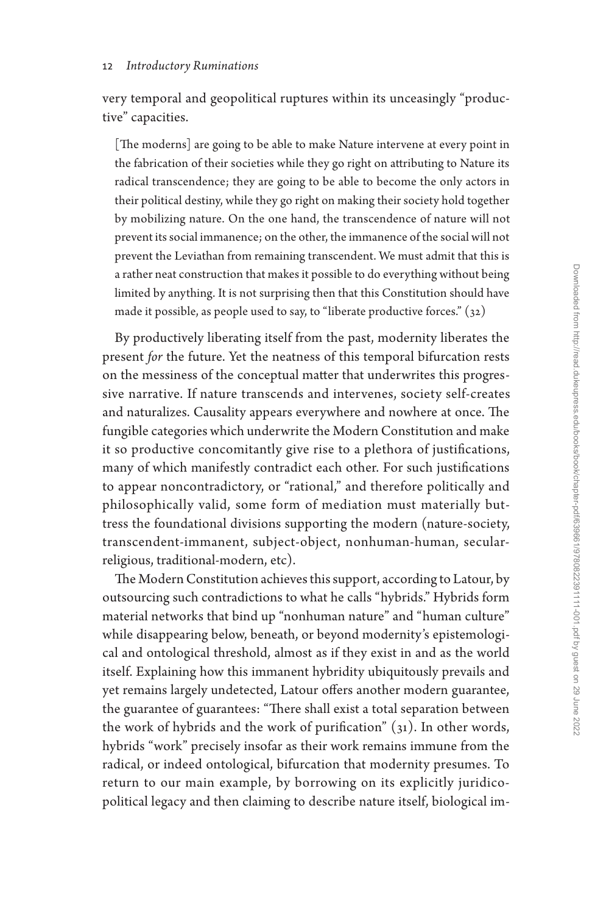very temporal and geopolitical ruptures within its unceasingly "productive" capacities.

[The moderns] are going to be able to make Nature intervene at every point in the fabrication of their societies while they go right on attributing to Nature its radical transcendence; they are going to be able to become the only actors in their political destiny, while they go right on making their society hold together by mobilizing nature. On the one hand, the transcendence of nature will not prevent its social immanence; on the other, the immanence of the social will not prevent the Leviathan from remaining transcendent. We must admit that this is a rather neat construction that makes it possible to do everything without being limited by anything. It is not surprising then that this Constitution should have made it possible, as people used to say, to "liberate productive forces." (32)

By productively liberating itself from the past, modernity liberates the present *for* the future. Yet the neatness of this temporal bifurcation rests on the messiness of the conceptual matter that underwrites this progressive narrative. If nature transcends and intervenes, society self-creates and naturalizes. Causality appears everywhere and nowhere at once. The fungible categories which underwrite the Modern Constitution and make it so productive concomitantly give rise to a plethora of justifications, many of which manifestly contradict each other. For such justifications to appear noncontradictory, or "rational," and therefore politically and philosophically valid, some form of mediation must materially buttress the foundational divisions supporting the modern (nature-society, transcendent-immanent, subject-object, nonhuman-human, secularreligious, traditional-modern, etc).

The Modern Constitution achieves this support, according to Latour, by outsourcing such contradictions to what he calls "hybrids." Hybrids form material networks that bind up "nonhuman nature" and "human culture" while disappearing below, beneath, or beyond modernity's epistemological and ontological threshold, almost as if they exist in and as the world itself. Explaining how this immanent hybridity ubiquitously prevails and yet remains largely undetected, Latour offers another modern guarantee, the guarantee of guarantees: "There shall exist a total separation between the work of hybrids and the work of purification" (31). In other words, hybrids "work" precisely insofar as their work remains immune from the radical, or indeed ontological, bifurcation that modernity presumes. To return to our main example, by borrowing on its explicitly juridicopolitical legacy and then claiming to describe nature itself, biological im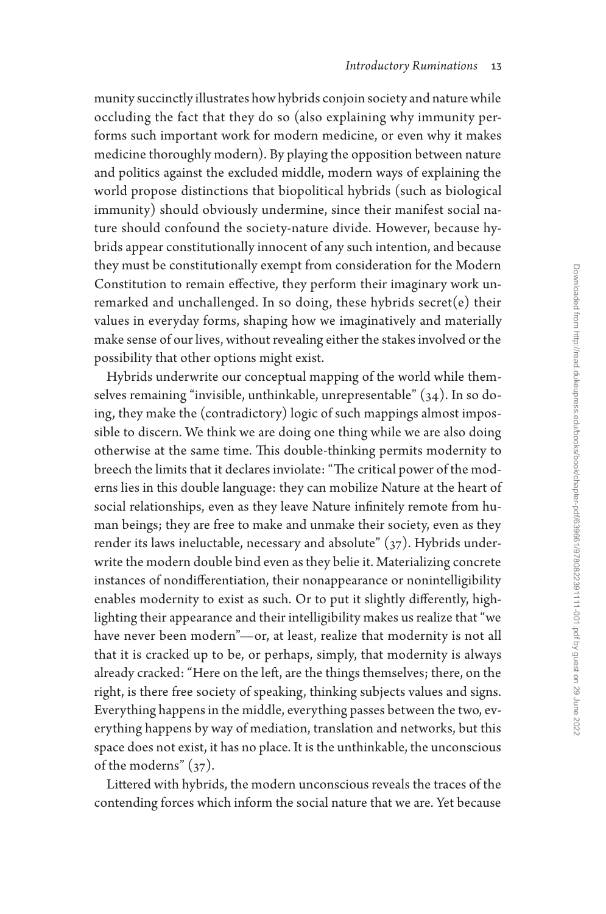munity succinctly illustrates how hybrids conjoin society and nature while occluding the fact that they do so (also explaining why immunity performs such important work for modern medicine, or even why it makes medicine thoroughly modern). By playing the opposition between nature and politics against the excluded middle, modern ways of explaining the world propose distinctions that biopolitical hybrids (such as biological immunity) should obviously undermine, since their manifest social nature should confound the society-nature divide. However, because hybrids appear constitutionally innocent of any such intention, and because they must be constitutionally exempt from consideration for the Modern Constitution to remain effective, they perform their imaginary work unremarked and unchallenged. In so doing, these hybrids secret(e) their values in everyday forms, shaping how we imaginatively and materially make sense of our lives, without revealing either the stakes involved or the possibility that other options might exist.

Hybrids underwrite our conceptual mapping of the world while themselves remaining "invisible, unthinkable, unrepresentable" (34). In so doing, they make the (contradictory) logic of such mappings almost impossible to discern. We think we are doing one thing while we are also doing otherwise at the same time. This double-thinking permits modernity to breech the limits that it declares inviolate: "The critical power of the moderns lies in this double language: they can mobilize Nature at the heart of social relationships, even as they leave Nature infinitely remote from human beings; they are free to make and unmake their society, even as they render its laws ineluctable, necessary and absolute"  $(37)$ . Hybrids underwrite the modern double bind even as they belie it. Materializing concrete instances of nondifferentiation, their nonappearance or nonintelligibility enables modernity to exist as such. Or to put it slightly differently, highlighting their appearance and their intelligibility makes us realize that "we have never been modern"—or, at least, realize that modernity is not all that it is cracked up to be, or perhaps, simply, that modernity is always already cracked: "Here on the left, are the things themselves; there, on the right, is there free society of speaking, thinking subjects values and signs. Everything happens in the middle, everything passes between the two, everything happens by way of mediation, translation and networks, but this space does not exist, it has no place. It is the unthinkable, the unconscious of the moderns" (37).

Littered with hybrids, the modern unconscious reveals the traces of the contending forces which inform the social nature that we are. Yet because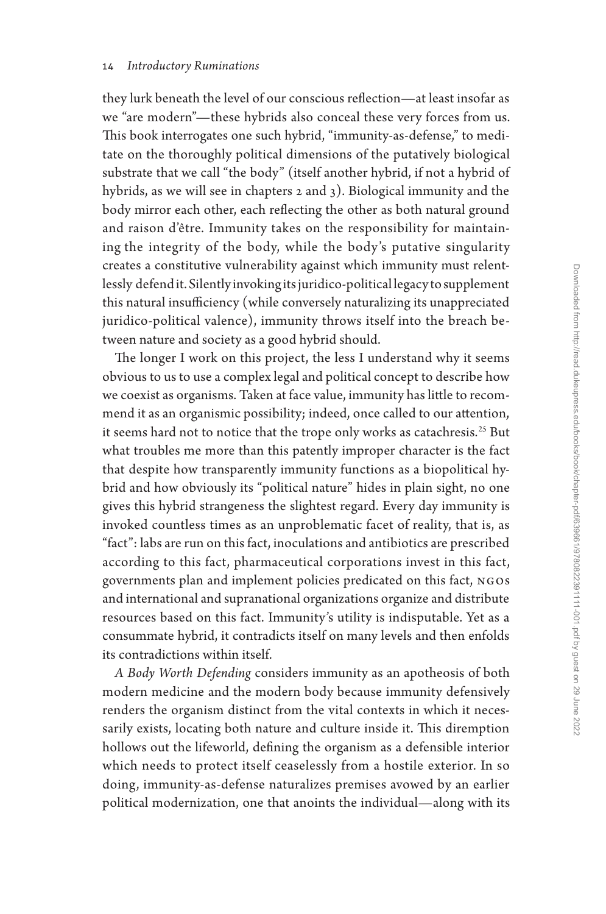they lurk beneath the level of our conscious reflection—at least insofar as we "are modern"—these hybrids also conceal these very forces from us. This book interrogates one such hybrid, "immunity-as-defense," to meditate on the thoroughly political dimensions of the putatively biological substrate that we call "the body" (itself another hybrid, if not a hybrid of hybrids, as we will see in chapters 2 and 3). Biological immunity and the body mirror each other, each reflecting the other as both natural ground and raison d'être. Immunity takes on the responsibility for maintaining the integrity of the body, while the body's putative singularity creates a constitutive vulnerability against which immunity must relentlessly defend it. Silently invoking its juridico-political legacy to supplement this natural insufficiency (while conversely naturalizing its unappreciated juridico-political valence), immunity throws itself into the breach between nature and society as a good hybrid should.

The longer I work on this project, the less I understand why it seems obvious to us to use a complex legal and political concept to describe how we coexist as organisms. Taken at face value, immunity has little to recommend it as an organismic possibility; indeed, once called to our attention, it seems hard not to notice that the trope only works as catachresis.<sup>25</sup> But what troubles me more than this patently improper character is the fact that despite how transparently immunity functions as a biopolitical hybrid and how obviously its "political nature" hides in plain sight, no one gives this hybrid strangeness the slightest regard. Every day immunity is invoked countless times as an unproblematic facet of reality, that is, as "fact": labs are run on this fact, inoculations and antibiotics are prescribed according to this fact, pharmaceutical corporations invest in this fact, governments plan and implement policies predicated on this fact, NGOs and international and supranational organizations organize and distribute resources based on this fact. Immunity's utility is indisputable. Yet as a consummate hybrid, it contradicts itself on many levels and then enfolds its contradictions within itself.

*A Body Worth Defending* considers immunity as an apotheosis of both modern medicine and the modern body because immunity defensively renders the organism distinct from the vital contexts in which it necessarily exists, locating both nature and culture inside it. This diremption hollows out the lifeworld, defining the organism as a defensible interior which needs to protect itself ceaselessly from a hostile exterior. In so doing, immunity-as-defense naturalizes premises avowed by an earlier political modernization, one that anoints the individual—along with its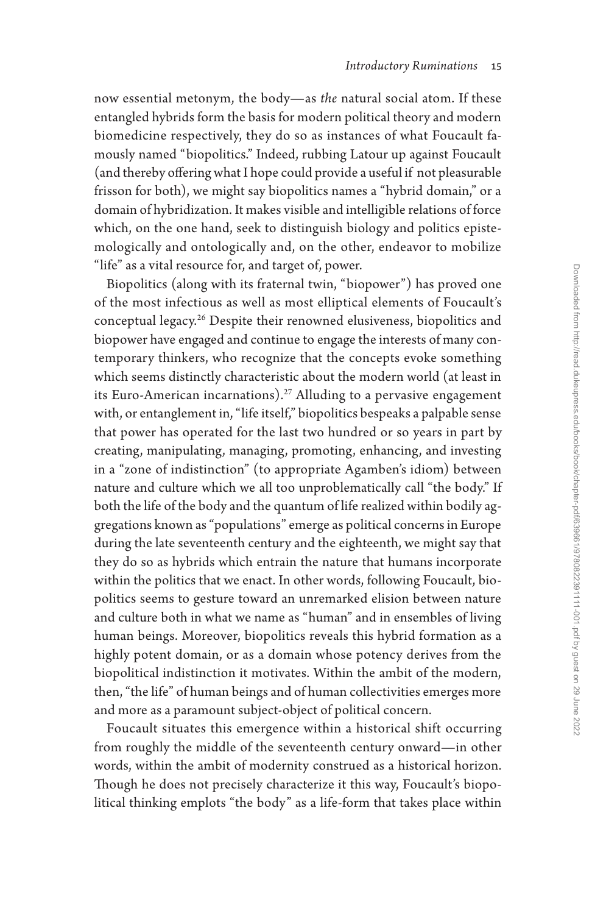now essential metonym, the body—as *the* natural social atom. If these entangled hybrids form the basis for modern political theory and modern biomedicine respectively, they do so as instances of what Foucault famously named "biopolitics." Indeed, rubbing Latour up against Foucault (and thereby offering what I hope could provide a useful if not pleasurable frisson for both), we might say biopolitics names a "hybrid domain," or a domain of hybridization. It makes visible and intelligible relations of force which, on the one hand, seek to distinguish biology and politics epistemologically and ontologically and, on the other, endeavor to mobilize "life" as a vital resource for, and target of, power.

Biopolitics (along with its fraternal twin, "biopower") has proved one of the most infectious as well as most elliptical elements of Foucault's conceptual legacy.26 Despite their renowned elusiveness, biopolitics and biopower have engaged and continue to engage the interests of many contemporary thinkers, who recognize that the concepts evoke something which seems distinctly characteristic about the modern world (at least in its Euro-American incarnations).<sup>27</sup> Alluding to a pervasive engagement with, or entanglement in, "life itself," biopolitics bespeaks a palpable sense that power has operated for the last two hundred or so years in part by creating, manipulating, managing, promoting, enhancing, and investing in a "zone of indistinction" (to appropriate Agamben's idiom) between nature and culture which we all too unproblematically call "the body." If both the life of the body and the quantum of life realized within bodily aggregations known as "populations" emerge as political concerns in Europe during the late seventeenth century and the eighteenth, we might say that they do so as hybrids which entrain the nature that humans incorporate within the politics that we enact. In other words, following Foucault, biopolitics seems to gesture toward an unremarked elision between nature and culture both in what we name as "human" and in ensembles of living human beings. Moreover, biopolitics reveals this hybrid formation as a highly potent domain, or as a domain whose potency derives from the biopolitical indistinction it motivates. Within the ambit of the modern, then, "the life" of human beings and of human collectivities emerges more and more as a paramount subject-object of political concern.

Foucault situates this emergence within a historical shift occurring from roughly the middle of the seventeenth century onward—in other words, within the ambit of modernity construed as a historical horizon. Though he does not precisely characterize it this way, Foucault's biopolitical thinking emplots "the body" as a life-form that takes place within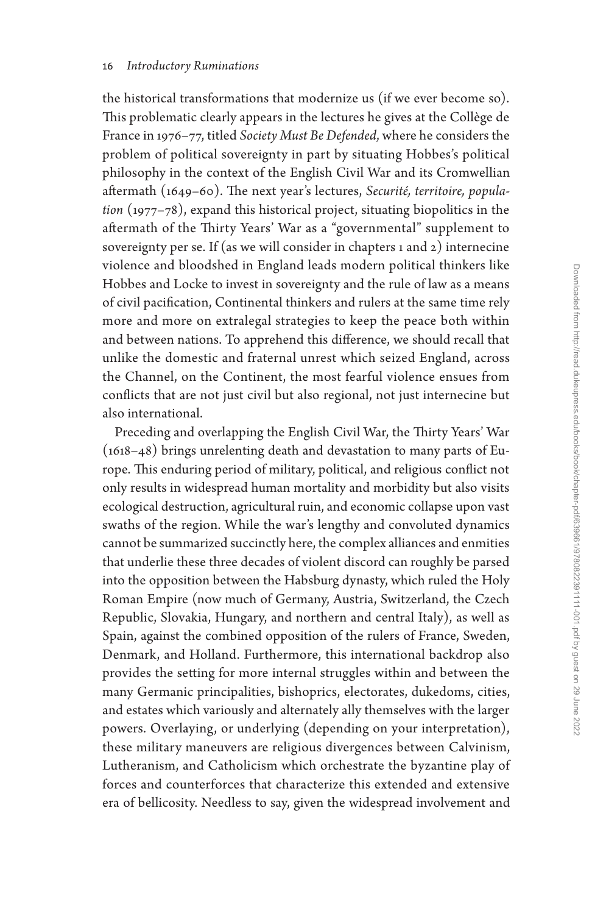the historical transformations that modernize us (if we ever become so). This problematic clearly appears in the lectures he gives at the Collège de France in 1976–77, titled *Society Must Be Defended*, where he considers the problem of political sovereignty in part by situating Hobbes's political philosophy in the context of the English Civil War and its Cromwellian aftermath (1649–60). The next year's lectures, *Securité, territoire, population* (1977–78), expand this historical project, situating biopolitics in the aftermath of the Thirty Years' War as a "governmental" supplement to sovereignty per se. If (as we will consider in chapters 1 and 2) internecine violence and bloodshed in England leads modern political thinkers like Hobbes and Locke to invest in sovereignty and the rule of law as a means of civil pacification, Continental thinkers and rulers at the same time rely more and more on extralegal strategies to keep the peace both within and between nations. To apprehend this difference, we should recall that unlike the domestic and fraternal unrest which seized England, across the Channel, on the Continent, the most fearful violence ensues from conflicts that are not just civil but also regional, not just internecine but also international.

Preceding and overlapping the English Civil War, the Thirty Years' War (1618–48) brings unrelenting death and devastation to many parts of Europe. This enduring period of military, political, and religious conflict not only results in widespread human mortality and morbidity but also visits ecological destruction, agricultural ruin, and economic collapse upon vast swaths of the region. While the war's lengthy and convoluted dynamics cannot be summarized succinctly here, the complex alliances and enmities that underlie these three decades of violent discord can roughly be parsed into the opposition between the Habsburg dynasty, which ruled the Holy Roman Empire (now much of Germany, Austria, Switzerland, the Czech Republic, Slovakia, Hungary, and northern and central Italy), as well as Spain, against the combined opposition of the rulers of France, Sweden, Denmark, and Holland. Furthermore, this international backdrop also provides the setting for more internal struggles within and between the many Germanic principalities, bishoprics, electorates, dukedoms, cities, and estates which variously and alternately ally themselves with the larger powers. Overlaying, or underlying (depending on your interpretation), these military maneuvers are religious divergences between Calvinism, Lutheranism, and Catholicism which orchestrate the byzantine play of forces and counterforces that characterize this extended and extensive era of bellicosity. Needless to say, given the widespread involvement and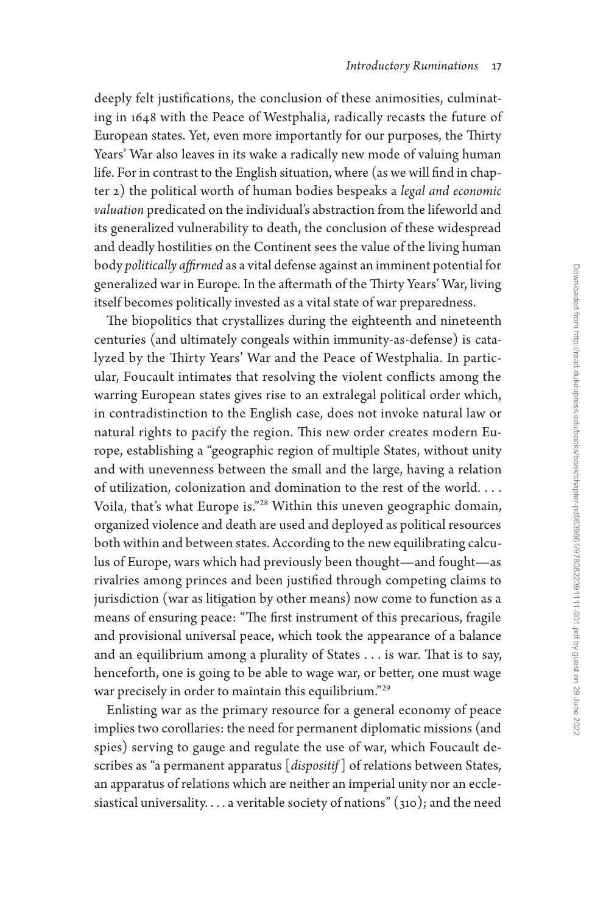deeply felt justifications, the conclusion of these animosities, culminating in 1648 with the Peace of Westphalia, radically recasts the future of European states. Yet, even more importantly for our purposes, the Thirty Years' War also leaves in its wake a radically new mode of valuing human life. For in contrast to the English situation, where (as we will find in chapter 2) the political worth of human bodies bespeaks a *legal and economic valuation* predicated on the individual's abstraction from the lifeworld and its generalized vulnerability to death, the conclusion of these widespread and deadly hostilities on the Continent sees the value of the living human body *politically affirmed* as a vital defense against an imminent potential for generalized war in Europe. In the aftermath of the Thirty Years' War, living itself becomes politically invested as a vital state of war preparedness.

The biopolitics that crystallizes during the eighteenth and nineteenth centuries (and ultimately congeals within immunity-as-defense) is catalyzed by the Thirty Years' War and the Peace of Westphalia. In particular, Foucault intimates that resolving the violent conflicts among the warring European states gives rise to an extralegal political order which, in contradistinction to the English case, does not invoke natural law or natural rights to pacify the region. This new order creates modern Europe, establishing a "geographic region of multiple States, without unity and with unevenness between the small and the large, having a relation of utilization, colonization and domination to the rest of the world. . . . Voila, that's what Europe is."28 Within this uneven geographic domain, organized violence and death are used and deployed as political resources both within and between states. According to the new equilibrating calculus of Europe, wars which had previously been thought—and fought—as rivalries among princes and been justified through competing claims to jurisdiction (war as litigation by other means) now come to function as a means of ensuring peace: "The first instrument of this precarious, fragile and provisional universal peace, which took the appearance of a balance and an equilibrium among a plurality of States . . . is war. That is to say, henceforth, one is going to be able to wage war, or better, one must wage war precisely in order to maintain this equilibrium."29

Enlisting war as the primary resource for a general economy of peace implies two corollaries: the need for permanent diplomatic missions (and spies) serving to gauge and regulate the use of war, which Foucault describes as "a permanent apparatus [*dispositif*] of relations between States, an apparatus of relations which are neither an imperial unity nor an ecclesiastical universality. . . . a veritable society of nations" (310); and the need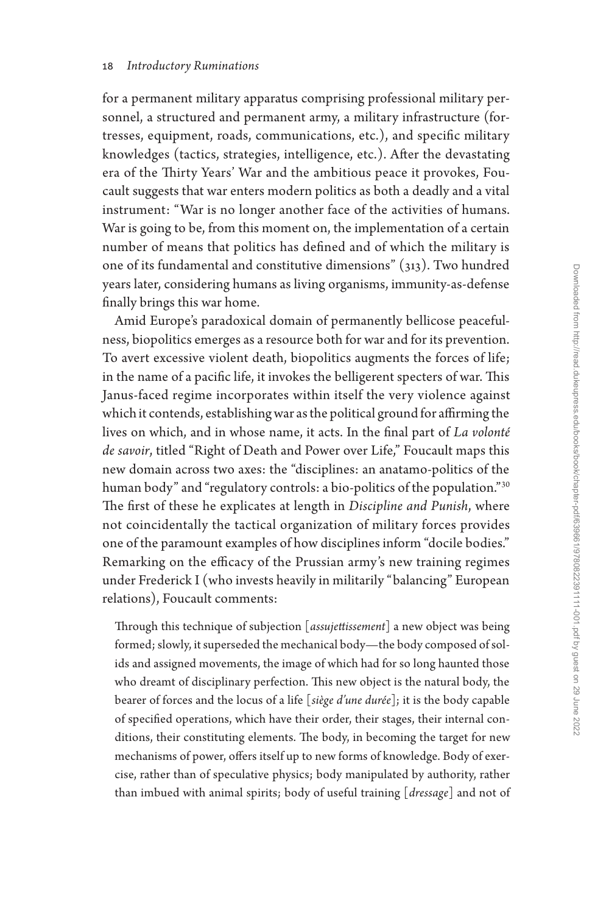for a permanent military apparatus comprising professional military personnel, a structured and permanent army, a military infrastructure (fortresses, equipment, roads, communications, etc.), and specific military knowledges (tactics, strategies, intelligence, etc.). After the devastating era of the Thirty Years' War and the ambitious peace it provokes, Foucault suggests that war enters modern politics as both a deadly and a vital instrument: "War is no longer another face of the activities of humans. War is going to be, from this moment on, the implementation of a certain number of means that politics has defined and of which the military is one of its fundamental and constitutive dimensions" (313). Two hundred years later, considering humans as living organisms, immunity-as-defense finally brings this war home.

Amid Europe's paradoxical domain of permanently bellicose peacefulness, biopolitics emerges as a resource both for war and for its prevention. To avert excessive violent death, biopolitics augments the forces of life; in the name of a pacific life, it invokes the belligerent specters of war. This Janus-faced regime incorporates within itself the very violence against which it contends, establishing war as the political ground for affirming the lives on which, and in whose name, it acts. In the final part of *La volonté de savoir*, titled "Right of Death and Power over Life," Foucault maps this new domain across two axes: the "disciplines: an anatamo-politics of the human body" and "regulatory controls: a bio-politics of the population."<sup>30</sup> The first of these he explicates at length in *Discipline and Punish*, where not coincidentally the tactical organization of military forces provides one of the paramount examples of how disciplines inform "docile bodies." Remarking on the efficacy of the Prussian army's new training regimes under Frederick I (who invests heavily in militarily "balancing" European relations), Foucault comments:

Through this technique of subjection [*assujettissement*] a new object was being formed; slowly, it superseded the mechanical body—the body composed of solids and assigned movements, the image of which had for so long haunted those who dreamt of disciplinary perfection. This new object is the natural body, the bearer of forces and the locus of a life [*siège d'une durée*]; it is the body capable of specified operations, which have their order, their stages, their internal conditions, their constituting elements. The body, in becoming the target for new mechanisms of power, offers itself up to new forms of knowledge. Body of exercise, rather than of speculative physics; body manipulated by authority, rather than imbued with animal spirits; body of useful training [*dressage*] and not of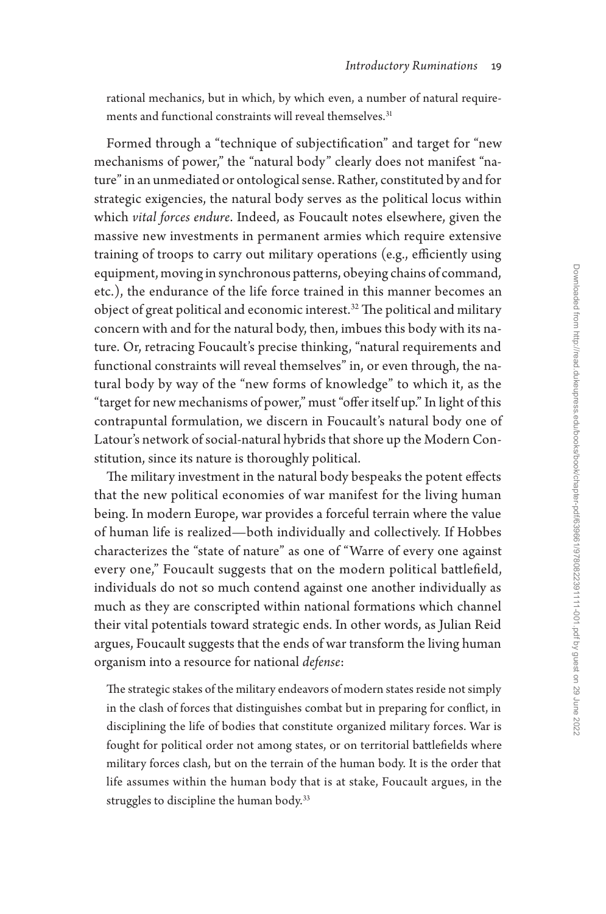rational mechanics, but in which, by which even, a number of natural requirements and functional constraints will reveal themselves.<sup>31</sup>

Formed through a "technique of subjectification" and target for "new mechanisms of power," the "natural body" clearly does not manifest "nature" in an unmediated or ontological sense. Rather, constituted by and for strategic exigencies, the natural body serves as the political locus within which *vital forces endure*. Indeed, as Foucault notes elsewhere, given the massive new investments in permanent armies which require extensive training of troops to carry out military operations (e.g., efficiently using equipment, moving in synchronous patterns, obeying chains of command, etc.), the endurance of the life force trained in this manner becomes an object of great political and economic interest.32 The political and military concern with and for the natural body, then, imbues this body with its nature. Or, retracing Foucault's precise thinking, "natural requirements and functional constraints will reveal themselves" in, or even through, the natural body by way of the "new forms of knowledge" to which it, as the "target for new mechanisms of power," must "offer itself up." In light of this contrapuntal formulation, we discern in Foucault's natural body one of Latour's network of social-natural hybrids that shore up the Modern Constitution, since its nature is thoroughly political.

The military investment in the natural body bespeaks the potent effects that the new political economies of war manifest for the living human being. In modern Europe, war provides a forceful terrain where the value of human life is realized—both individually and collectively. If Hobbes characterizes the "state of nature" as one of "Warre of every one against every one," Foucault suggests that on the modern political battlefield, individuals do not so much contend against one another individually as much as they are conscripted within national formations which channel their vital potentials toward strategic ends. In other words, as Julian Reid argues, Foucault suggests that the ends of war transform the living human organism into a resource for national *defense*:

The strategic stakes of the military endeavors of modern states reside not simply in the clash of forces that distinguishes combat but in preparing for conflict, in disciplining the life of bodies that constitute organized military forces. War is fought for political order not among states, or on territorial battlefields where military forces clash, but on the terrain of the human body. It is the order that life assumes within the human body that is at stake, Foucault argues, in the struggles to discipline the human body.33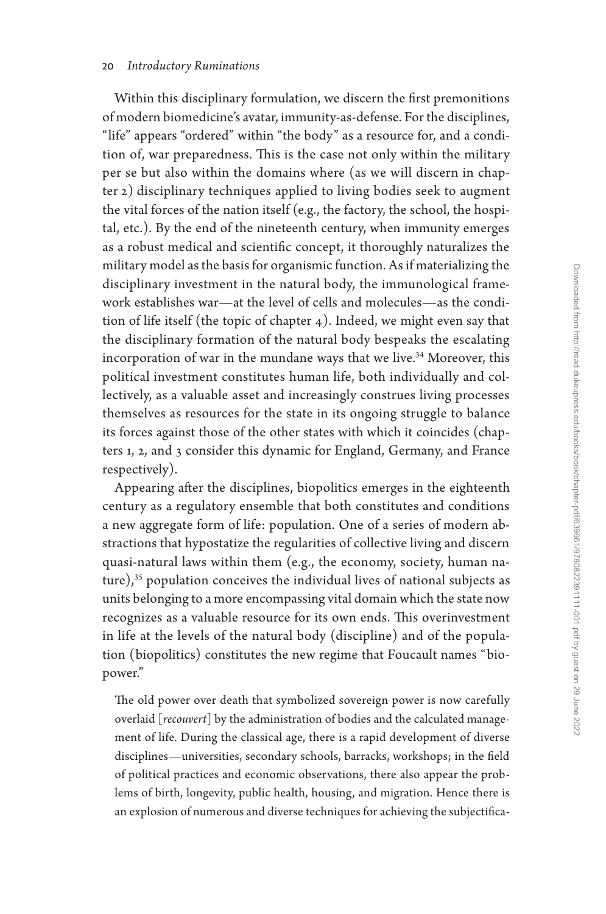Within this disciplinary formulation, we discern the first premonitions of modern biomedicine's avatar, immunity-as-defense. For the disciplines, "life" appears "ordered" within "the body" as a resource for, and a condition of, war preparedness. This is the case not only within the military per se but also within the domains where (as we will discern in chapter 2) disciplinary techniques applied to living bodies seek to augment the vital forces of the nation itself (e.g., the factory, the school, the hospital, etc.). By the end of the nineteenth century, when immunity emerges as a robust medical and scientific concept, it thoroughly naturalizes the military model as the basis for organismic function. As if materializing the disciplinary investment in the natural body, the immunological framework establishes war—at the level of cells and molecules—as the condition of life itself (the topic of chapter 4). Indeed, we might even say that the disciplinary formation of the natural body bespeaks the escalating incorporation of war in the mundane ways that we live.<sup>34</sup> Moreover, this political investment constitutes human life, both individually and collectively, as a valuable asset and increasingly construes living processes themselves as resources for the state in its ongoing struggle to balance its forces against those of the other states with which it coincides (chapters 1, 2, and 3 consider this dynamic for England, Germany, and France respectively).

Appearing after the disciplines, biopolitics emerges in the eighteenth century as a regulatory ensemble that both constitutes and conditions a new aggregate form of life: population. One of a series of modern abstractions that hypostatize the regularities of collective living and discern quasi-natural laws within them (e.g., the economy, society, human nature), $35$  population conceives the individual lives of national subjects as units belonging to a more encompassing vital domain which the state now recognizes as a valuable resource for its own ends. This overinvestment in life at the levels of the natural body (discipline) and of the population (biopolitics) constitutes the new regime that Foucault names "biopower."

The old power over death that symbolized sovereign power is now carefully overlaid [*recouvert*] by the administration of bodies and the calculated management of life. During the classical age, there is a rapid development of diverse disciplines—universities, secondary schools, barracks, workshops; in the field of political practices and economic observations, there also appear the problems of birth, longevity, public health, housing, and migration. Hence there is an explosion of numerous and diverse techniques for achieving the subjectifica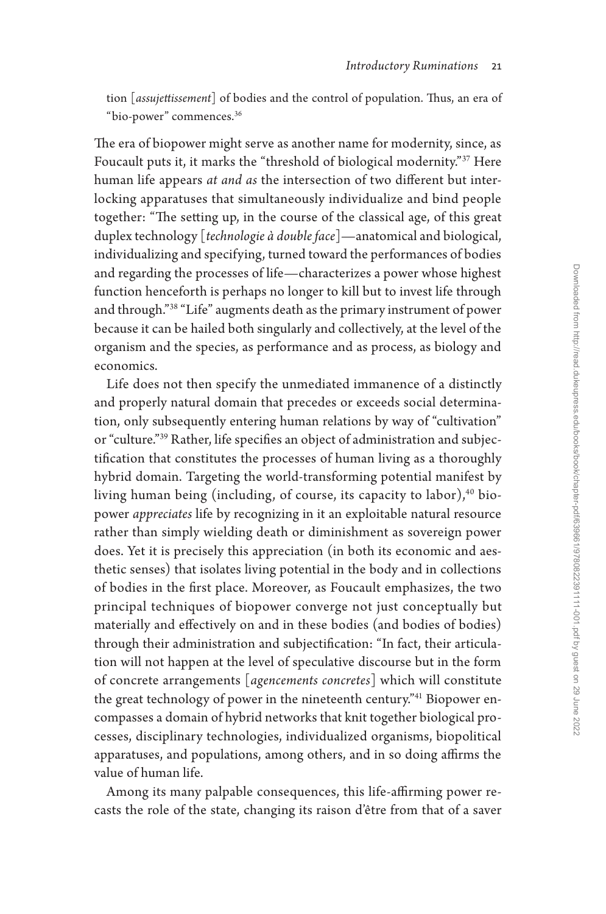tion [*assujettissement*] of bodies and the control of population. Thus, an era of "bio-power" commences.36

The era of biopower might serve as another name for modernity, since, as Foucault puts it, it marks the "threshold of biological modernity."37 Here human life appears *at and as* the intersection of two different but interlocking apparatuses that simultaneously individualize and bind people together: "The setting up, in the course of the classical age, of this great duplex technology [*technologie à double face*]—anatomical and biological, individualizing and specifying, turned toward the performances of bodies and regarding the processes of life—characterizes a power whose highest function henceforth is perhaps no longer to kill but to invest life through and through."38 "Life" augments death as the primary instrument of power because it can be hailed both singularly and collectively, at the level of the organism and the species, as performance and as process, as biology and economics.

Life does not then specify the unmediated immanence of a distinctly and properly natural domain that precedes or exceeds social determination, only subsequently entering human relations by way of "cultivation" or "culture."39 Rather, life specifies an object of administration and subjectification that constitutes the processes of human living as a thoroughly hybrid domain. Targeting the world-transforming potential manifest by living human being (including, of course, its capacity to labor), $40$  biopower *appreciates* life by recognizing in it an exploitable natural resource rather than simply wielding death or diminishment as sovereign power does. Yet it is precisely this appreciation (in both its economic and aesthetic senses) that isolates living potential in the body and in collections of bodies in the first place. Moreover, as Foucault emphasizes, the two principal techniques of biopower converge not just conceptually but materially and effectively on and in these bodies (and bodies of bodies) through their administration and subjectification: "In fact, their articulation will not happen at the level of speculative discourse but in the form of concrete arrangements [*agencements concretes*] which will constitute the great technology of power in the nineteenth century."<sup>41</sup> Biopower encompasses a domain of hybrid networks that knit together biological processes, disciplinary technologies, individualized organisms, biopolitical apparatuses, and populations, among others, and in so doing affirms the value of human life.

Among its many palpable consequences, this life-affirming power recasts the role of the state, changing its raison d'être from that of a saver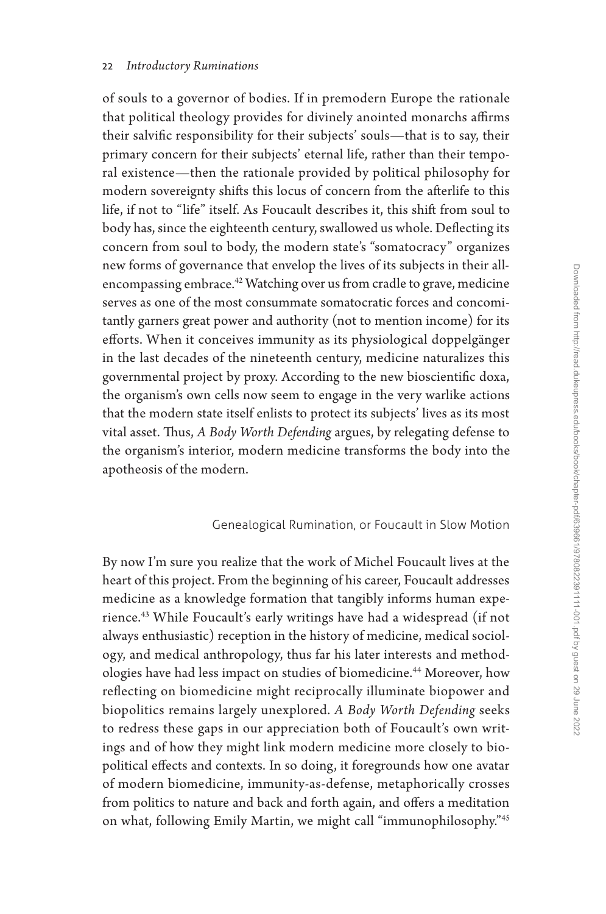of souls to a governor of bodies. If in premodern Europe the rationale that political theology provides for divinely anointed monarchs affirms their salvific responsibility for their subjects' souls—that is to say, their primary concern for their subjects' eternal life, rather than their temporal existence—then the rationale provided by political philosophy for modern sovereignty shifts this locus of concern from the afterlife to this life, if not to "life" itself. As Foucault describes it, this shift from soul to body has, since the eighteenth century, swallowed us whole. Deflecting its concern from soul to body, the modern state's "somatocracy" organizes new forms of governance that envelop the lives of its subjects in their allencompassing embrace.42 Watching over us from cradle to grave, medicine serves as one of the most consummate somatocratic forces and concomitantly garners great power and authority (not to mention income) for its efforts. When it conceives immunity as its physiological doppelgänger in the last decades of the nineteenth century, medicine naturalizes this governmental project by proxy. According to the new bioscientific doxa, the organism's own cells now seem to engage in the very warlike actions that the modern state itself enlists to protect its subjects' lives as its most vital asset. Thus, *A Body Worth Defending* argues, by relegating defense to the organism's interior, modern medicine transforms the body into the apotheosis of the modern.

## Genealogical Rumination, or Foucault in Slow Motion

By now I'm sure you realize that the work of Michel Foucault lives at the heart of this project. From the beginning of his career, Foucault addresses medicine as a knowledge formation that tangibly informs human experience.43 While Foucault's early writings have had a widespread (if not always enthusiastic) reception in the history of medicine, medical sociology, and medical anthropology, thus far his later interests and methodologies have had less impact on studies of biomedicine.<sup>44</sup> Moreover, how reflecting on biomedicine might reciprocally illuminate biopower and biopolitics remains largely unexplored. *A Body Worth Defending* seeks to redress these gaps in our appreciation both of Foucault's own writings and of how they might link modern medicine more closely to biopolitical effects and contexts. In so doing, it foregrounds how one avatar of modern biomedicine, immunity-as-defense, metaphorically crosses from politics to nature and back and forth again, and offers a meditation on what, following Emily Martin, we might call "immunophilosophy."45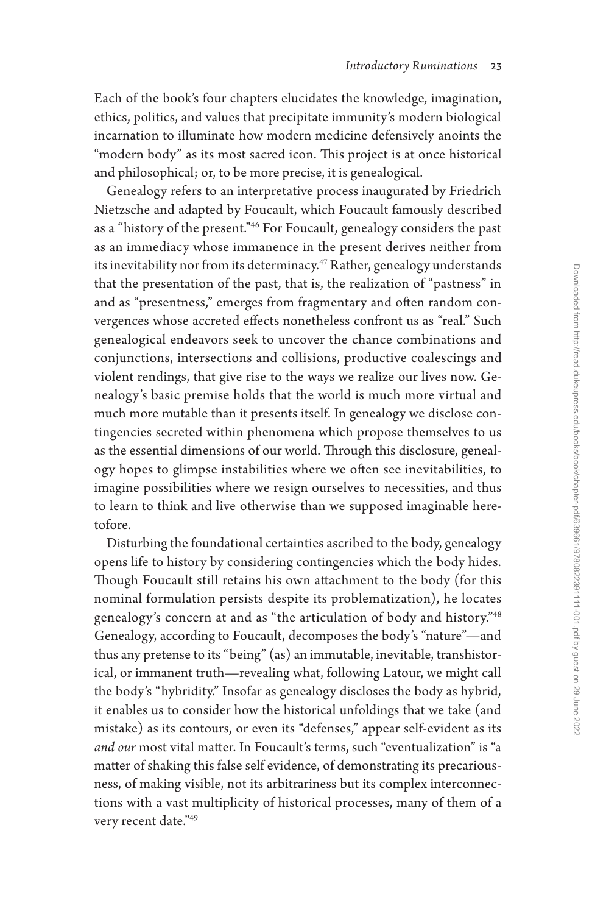Each of the book's four chapters elucidates the knowledge, imagination, ethics, politics, and values that precipitate immunity's modern biological incarnation to illuminate how modern medicine defensively anoints the "modern body" as its most sacred icon. This project is at once historical and philosophical; or, to be more precise, it is genealogical.

Genealogy refers to an interpretative process inaugurated by Friedrich Nietzsche and adapted by Foucault, which Foucault famously described as a "history of the present."46 For Foucault, genealogy considers the past as an immediacy whose immanence in the present derives neither from its inevitability nor from its determinacy.47 Rather, genealogy understands that the presentation of the past, that is, the realization of "pastness" in and as "presentness," emerges from fragmentary and often random convergences whose accreted effects nonetheless confront us as "real." Such genealogical endeavors seek to uncover the chance combinations and conjunctions, intersections and collisions, productive coalescings and violent rendings, that give rise to the ways we realize our lives now. Genealogy's basic premise holds that the world is much more virtual and much more mutable than it presents itself. In genealogy we disclose contingencies secreted within phenomena which propose themselves to us as the essential dimensions of our world. Through this disclosure, genealogy hopes to glimpse instabilities where we often see inevitabilities, to imagine possibilities where we resign ourselves to necessities, and thus to learn to think and live otherwise than we supposed imaginable heretofore.

Disturbing the foundational certainties ascribed to the body, genealogy opens life to history by considering contingencies which the body hides. Though Foucault still retains his own attachment to the body (for this nominal formulation persists despite its problematization), he locates genealogy's concern at and as "the articulation of body and history."48 Genealogy, according to Foucault, decomposes the body's "nature"—and thus any pretense to its "being" (as) an immutable, inevitable, transhistorical, or immanent truth—revealing what, following Latour, we might call the body's "hybridity." Insofar as genealogy discloses the body as hybrid, it enables us to consider how the historical unfoldings that we take (and mistake) as its contours, or even its "defenses," appear self-evident as its *and our* most vital matter. In Foucault's terms, such "eventualization" is "a matter of shaking this false self evidence, of demonstrating its precariousness, of making visible, not its arbitrariness but its complex interconnections with a vast multiplicity of historical processes, many of them of a very recent date."49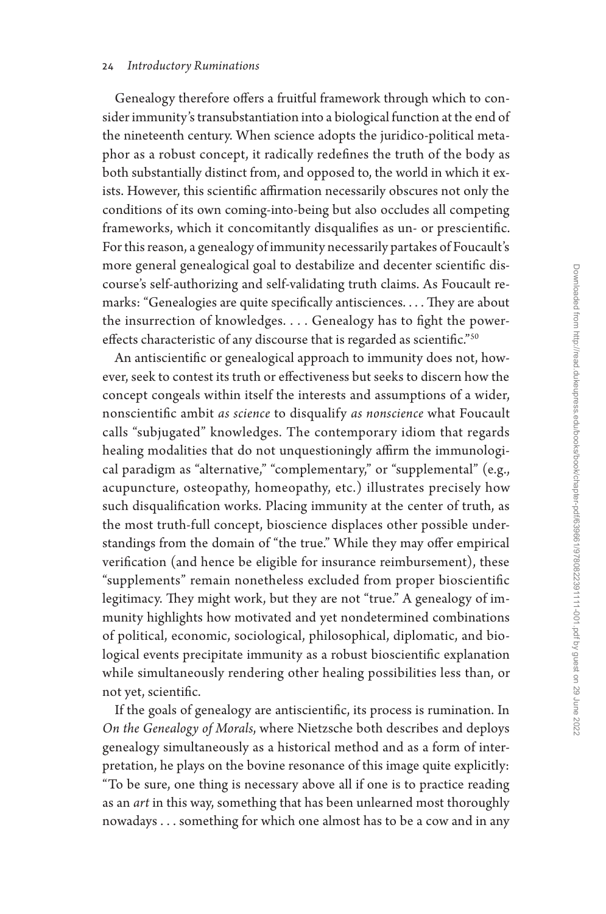Genealogy therefore offers a fruitful framework through which to consider immunity's transubstantiation into a biological function at the end of the nineteenth century. When science adopts the juridico-political metaphor as a robust concept, it radically redefines the truth of the body as both substantially distinct from, and opposed to, the world in which it exists. However, this scientific affirmation necessarily obscures not only the conditions of its own coming-into-being but also occludes all competing frameworks, which it concomitantly disqualifies as un- or prescientific. For this reason, a genealogy of immunity necessarily partakes of Foucault's more general genealogical goal to destabilize and decenter scientific discourse's self-authorizing and self-validating truth claims. As Foucault remarks: "Genealogies are quite specifically antisciences. . . . They are about the insurrection of knowledges. . . . Genealogy has to fight the powereffects characteristic of any discourse that is regarded as scientific."<sup>50</sup>

An antiscientific or genealogical approach to immunity does not, however, seek to contest its truth or effectiveness but seeks to discern how the concept congeals within itself the interests and assumptions of a wider, nonscientific ambit *as science* to disqualify *as nonscience* what Foucault calls "subjugated" knowledges. The contemporary idiom that regards healing modalities that do not unquestioningly affirm the immunological paradigm as "alternative," "complementary," or "supplemental" (e.g., acupuncture, osteopathy, homeopathy, etc.) illustrates precisely how such disqualification works. Placing immunity at the center of truth, as the most truth-full concept, bioscience displaces other possible understandings from the domain of "the true." While they may offer empirical verification (and hence be eligible for insurance reimbursement), these "supplements" remain nonetheless excluded from proper bioscientific legitimacy. They might work, but they are not "true." A genealogy of immunity highlights how motivated and yet nondetermined combinations of political, economic, sociological, philosophical, diplomatic, and biological events precipitate immunity as a robust bioscientific explanation while simultaneously rendering other healing possibilities less than, or not yet, scientific.

If the goals of genealogy are antiscientific, its process is rumination. In *On the Genealogy of Morals*, where Nietzsche both describes and deploys genealogy simultaneously as a historical method and as a form of interpretation, he plays on the bovine resonance of this image quite explicitly: "To be sure, one thing is necessary above all if one is to practice reading as an *art* in this way, something that has been unlearned most thoroughly nowadays . . . something for which one almost has to be a cow and in any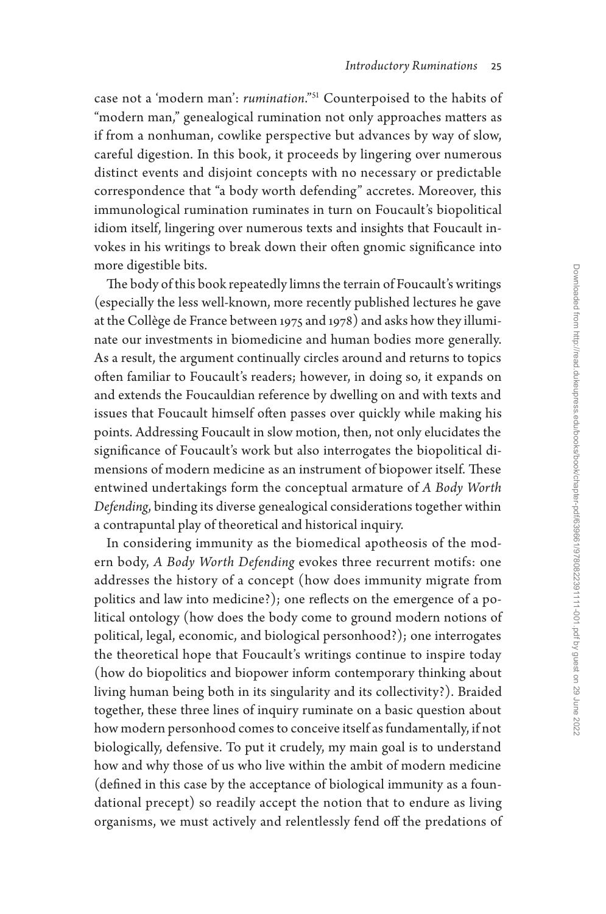case not a 'modern man': *rumination*."51 Counterpoised to the habits of "modern man," genealogical rumination not only approaches matters as if from a nonhuman, cowlike perspective but advances by way of slow, careful digestion. In this book, it proceeds by lingering over numerous distinct events and disjoint concepts with no necessary or predictable correspondence that "a body worth defending" accretes. Moreover, this immunological rumination ruminates in turn on Foucault's biopolitical idiom itself, lingering over numerous texts and insights that Foucault invokes in his writings to break down their often gnomic significance into more digestible bits.

The body of this book repeatedly limns the terrain of Foucault's writings (especially the less well-known, more recently published lectures he gave at the Collège de France between 1975 and 1978) and asks how they illuminate our investments in biomedicine and human bodies more generally. As a result, the argument continually circles around and returns to topics often familiar to Foucault's readers; however, in doing so, it expands on and extends the Foucauldian reference by dwelling on and with texts and issues that Foucault himself often passes over quickly while making his points. Addressing Foucault in slow motion, then, not only elucidates the significance of Foucault's work but also interrogates the biopolitical dimensions of modern medicine as an instrument of biopower itself. These entwined undertakings form the conceptual armature of *A Body Worth Defending*, binding its diverse genealogical considerations together within a contrapuntal play of theoretical and historical inquiry.

In considering immunity as the biomedical apotheosis of the modern body, *A Body Worth Defending* evokes three recurrent motifs: one addresses the history of a concept (how does immunity migrate from politics and law into medicine?); one reflects on the emergence of a political ontology (how does the body come to ground modern notions of political, legal, economic, and biological personhood?); one interrogates the theoretical hope that Foucault's writings continue to inspire today (how do biopolitics and biopower inform contemporary thinking about living human being both in its singularity and its collectivity?). Braided together, these three lines of inquiry ruminate on a basic question about how modern personhood comes to conceive itself as fundamentally, if not biologically, defensive. To put it crudely, my main goal is to understand how and why those of us who live within the ambit of modern medicine (defined in this case by the acceptance of biological immunity as a foundational precept) so readily accept the notion that to endure as living organisms, we must actively and relentlessly fend off the predations of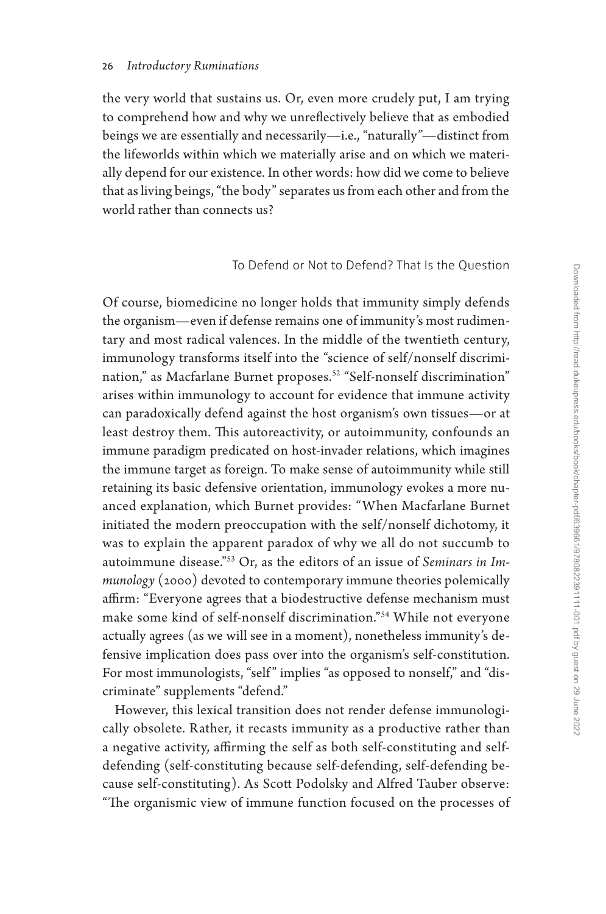the very world that sustains us. Or, even more crudely put, I am trying to comprehend how and why we unreflectively believe that as embodied beings we are essentially and necessarily—i.e., "naturally"—distinct from the lifeworlds within which we materially arise and on which we materially depend for our existence. In other words: how did we come to believe that as living beings, "the body" separates us from each other and from the world rather than connects us?

#### To Defend or Not to Defend? That Is the Question

Of course, biomedicine no longer holds that immunity simply defends the organism—even if defense remains one of immunity's most rudimentary and most radical valences. In the middle of the twentieth century, immunology transforms itself into the "science of self/nonself discrimination," as Macfarlane Burnet proposes.52 "Self-nonself discrimination" arises within immunology to account for evidence that immune activity can paradoxically defend against the host organism's own tissues—or at least destroy them. This autoreactivity, or autoimmunity, confounds an immune paradigm predicated on host-invader relations, which imagines the immune target as foreign. To make sense of autoimmunity while still retaining its basic defensive orientation, immunology evokes a more nuanced explanation, which Burnet provides: "When Macfarlane Burnet initiated the modern preoccupation with the self/nonself dichotomy, it was to explain the apparent paradox of why we all do not succumb to autoimmune disease."53 Or, as the editors of an issue of *Seminars in Immunology* (2000) devoted to contemporary immune theories polemically affirm: "Everyone agrees that a biodestructive defense mechanism must make some kind of self-nonself discrimination."54 While not everyone actually agrees (as we will see in a moment), nonetheless immunity's defensive implication does pass over into the organism's self-constitution. For most immunologists, "self" implies "as opposed to nonself," and "discriminate" supplements "defend."

However, this lexical transition does not render defense immunologically obsolete. Rather, it recasts immunity as a productive rather than a negative activity, affirming the self as both self-constituting and selfdefending (self-constituting because self-defending, self-defending because self-constituting). As Scott Podolsky and Alfred Tauber observe: "The organismic view of immune function focused on the processes of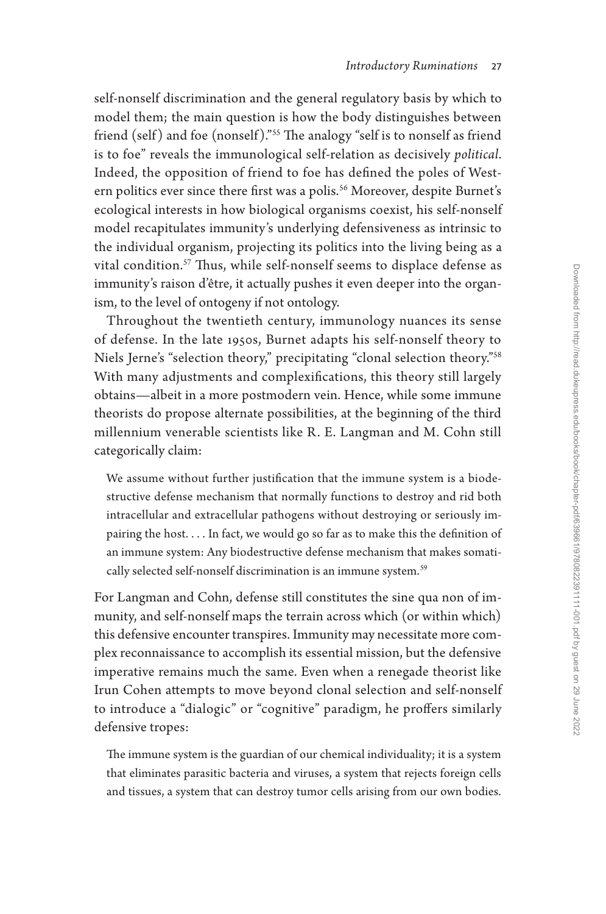self-nonself discrimination and the general regulatory basis by which to model them; the main question is how the body distinguishes between friend (self) and foe (nonself)."<sup>55</sup> The analogy "self is to nonself as friend is to foe" reveals the immunological self-relation as decisively *political*. Indeed, the opposition of friend to foe has defined the poles of Western politics ever since there first was a polis.<sup>56</sup> Moreover, despite Burnet's ecological interests in how biological organisms coexist, his self-nonself model recapitulates immunity's underlying defensiveness as intrinsic to the individual organism, projecting its politics into the living being as a vital condition.57 Thus, while self-nonself seems to displace defense as immunity's raison d'être, it actually pushes it even deeper into the organism, to the level of ontogeny if not ontology.

Throughout the twentieth century, immunology nuances its sense of defense. In the late 1950s, Burnet adapts his self-nonself theory to Niels Jerne's "selection theory," precipitating "clonal selection theory."58 With many adjustments and complexifications, this theory still largely obtains—albeit in a more postmodern vein. Hence, while some immune theorists do propose alternate possibilities, at the beginning of the third millennium venerable scientists like R. E. Langman and M. Cohn still categorically claim:

We assume without further justification that the immune system is a biodestructive defense mechanism that normally functions to destroy and rid both intracellular and extracellular pathogens without destroying or seriously impairing the host. . . . In fact, we would go so far as to make this the definition of an immune system: Any biodestructive defense mechanism that makes somatically selected self-nonself discrimination is an immune system.<sup>59</sup>

For Langman and Cohn, defense still constitutes the sine qua non of immunity, and self-nonself maps the terrain across which (or within which) this defensive encounter transpires. Immunity may necessitate more complex reconnaissance to accomplish its essential mission, but the defensive imperative remains much the same. Even when a renegade theorist like Irun Cohen attempts to move beyond clonal selection and self-nonself to introduce a "dialogic" or "cognitive" paradigm, he proffers similarly defensive tropes:

The immune system is the guardian of our chemical individuality; it is a system that eliminates parasitic bacteria and viruses, a system that rejects foreign cells and tissues, a system that can destroy tumor cells arising from our own bodies.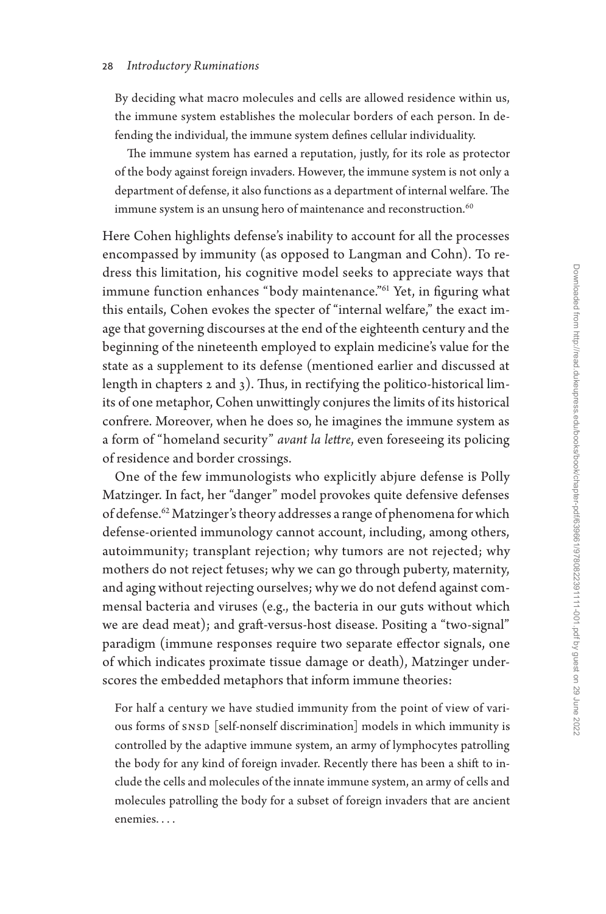By deciding what macro molecules and cells are allowed residence within us, the immune system establishes the molecular borders of each person. In defending the individual, the immune system defines cellular individuality.

The immune system has earned a reputation, justly, for its role as protector of the body against foreign invaders. However, the immune system is not only a department of defense, it also functions as a department of internal welfare. The immune system is an unsung hero of maintenance and reconstruction.<sup>60</sup>

Here Cohen highlights defense's inability to account for all the processes encompassed by immunity (as opposed to Langman and Cohn). To redress this limitation, his cognitive model seeks to appreciate ways that immune function enhances "body maintenance."61 Yet, in figuring what this entails, Cohen evokes the specter of "internal welfare," the exact image that governing discourses at the end of the eighteenth century and the beginning of the nineteenth employed to explain medicine's value for the state as a supplement to its defense (mentioned earlier and discussed at length in chapters 2 and 3). Thus, in rectifying the politico-historical limits of one metaphor, Cohen unwittingly conjures the limits of its historical confrere. Moreover, when he does so, he imagines the immune system as a form of "homeland security" *avant la lettre*, even foreseeing its policing of residence and border crossings.

One of the few immunologists who explicitly abjure defense is Polly Matzinger. In fact, her "danger" model provokes quite defensive defenses of defense.<sup>62</sup> Matzinger's theory addresses a range of phenomena for which defense-oriented immunology cannot account, including, among others, autoimmunity; transplant rejection; why tumors are not rejected; why mothers do not reject fetuses; why we can go through puberty, maternity, and aging without rejecting ourselves; why we do not defend against commensal bacteria and viruses (e.g., the bacteria in our guts without which we are dead meat); and graft-versus-host disease. Positing a "two-signal" paradigm (immune responses require two separate effector signals, one of which indicates proximate tissue damage or death), Matzinger underscores the embedded metaphors that inform immune theories:

For half a century we have studied immunity from the point of view of various forms of SNSD [self-nonself discrimination] models in which immunity is controlled by the adaptive immune system, an army of lymphocytes patrolling the body for any kind of foreign invader. Recently there has been a shift to include the cells and molecules of the innate immune system, an army of cells and molecules patrolling the body for a subset of foreign invaders that are ancient enemies. . . .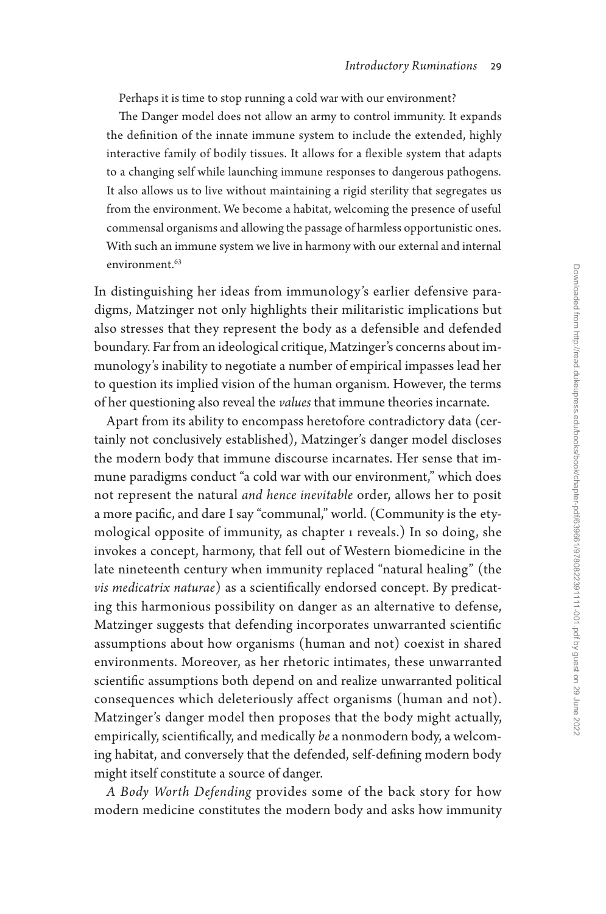Perhaps it is time to stop running a cold war with our environment?

The Danger model does not allow an army to control immunity. It expands the definition of the innate immune system to include the extended, highly interactive family of bodily tissues. It allows for a flexible system that adapts to a changing self while launching immune responses to dangerous pathogens. It also allows us to live without maintaining a rigid sterility that segregates us from the environment. We become a habitat, welcoming the presence of useful commensal organisms and allowing the passage of harmless opportunistic ones. With such an immune system we live in harmony with our external and internal environment.<sup>63</sup>

In distinguishing her ideas from immunology's earlier defensive paradigms, Matzinger not only highlights their militaristic implications but also stresses that they represent the body as a defensible and defended boundary. Far from an ideological critique, Matzinger's concerns about immunology's inability to negotiate a number of empirical impasses lead her to question its implied vision of the human organism. However, the terms of her questioning also reveal the *values* that immune theories incarnate.

Apart from its ability to encompass heretofore contradictory data (certainly not conclusively established), Matzinger's danger model discloses the modern body that immune discourse incarnates. Her sense that immune paradigms conduct "a cold war with our environment," which does not represent the natural *and hence inevitable* order, allows her to posit a more pacific, and dare I say "communal," world. (Community is the etymological opposite of immunity, as chapter 1 reveals.) In so doing, she invokes a concept, harmony, that fell out of Western biomedicine in the late nineteenth century when immunity replaced "natural healing" (the *vis medicatrix naturae*) as a scientifically endorsed concept. By predicating this harmonious possibility on danger as an alternative to defense, Matzinger suggests that defending incorporates unwarranted scientific assumptions about how organisms (human and not) coexist in shared environments. Moreover, as her rhetoric intimates, these unwarranted scientific assumptions both depend on and realize unwarranted political consequences which deleteriously affect organisms (human and not). Matzinger's danger model then proposes that the body might actually, empirically, scientifically, and medically *be* a nonmodern body, a welcoming habitat, and conversely that the defended, self-defining modern body might itself constitute a source of danger.

*A Body Worth Defending* provides some of the back story for how modern medicine constitutes the modern body and asks how immunity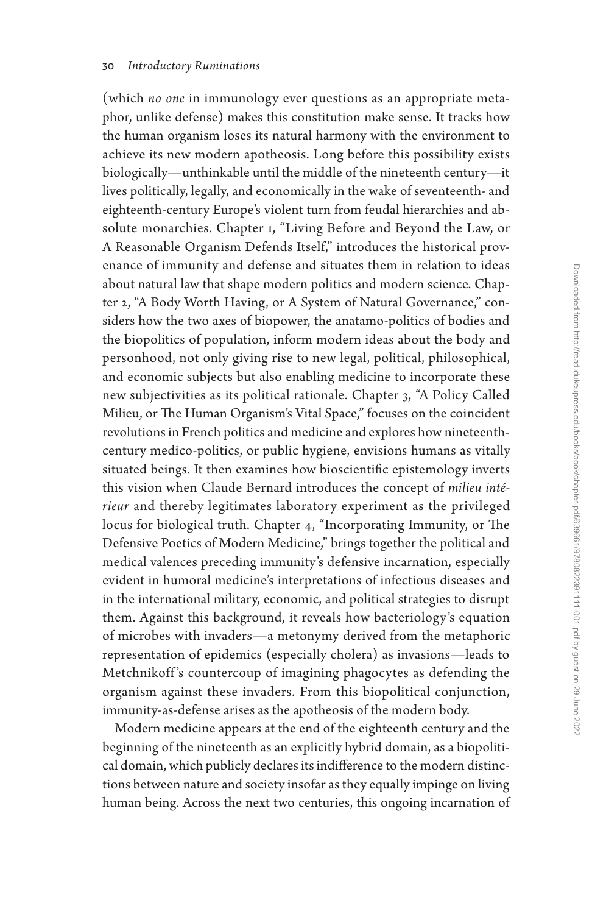(which *no one* in immunology ever questions as an appropriate metaphor, unlike defense) makes this constitution make sense. It tracks how the human organism loses its natural harmony with the environment to achieve its new modern apotheosis. Long before this possibility exists biologically—unthinkable until the middle of the nineteenth century—it lives politically, legally, and economically in the wake of seventeenth- and eighteenth-century Europe's violent turn from feudal hierarchies and absolute monarchies. Chapter 1, "Living Before and Beyond the Law, or A Reasonable Organism Defends Itself," introduces the historical provenance of immunity and defense and situates them in relation to ideas about natural law that shape modern politics and modern science. Chapter 2, "A Body Worth Having, or A System of Natural Governance," considers how the two axes of biopower, the anatamo-politics of bodies and the biopolitics of population, inform modern ideas about the body and personhood, not only giving rise to new legal, political, philosophical, and economic subjects but also enabling medicine to incorporate these new subjectivities as its political rationale. Chapter 3, "A Policy Called Milieu, or The Human Organism's Vital Space," focuses on the coincident revolutions in French politics and medicine and explores how nineteenthcentury medico-politics, or public hygiene, envisions humans as vitally situated beings. It then examines how bioscientific epistemology inverts this vision when Claude Bernard introduces the concept of *milieu intérieur* and thereby legitimates laboratory experiment as the privileged locus for biological truth. Chapter 4, "Incorporating Immunity, or The Defensive Poetics of Modern Medicine," brings together the political and medical valences preceding immunity's defensive incarnation, especially evident in humoral medicine's interpretations of infectious diseases and in the international military, economic, and political strategies to disrupt them. Against this background, it reveals how bacteriology's equation of microbes with invaders—a metonymy derived from the metaphoric representation of epidemics (especially cholera) as invasions—leads to Metchnikoff 's countercoup of imagining phagocytes as defending the organism against these invaders. From this biopolitical conjunction, immunity-as-defense arises as the apotheosis of the modern body.

Modern medicine appears at the end of the eighteenth century and the beginning of the nineteenth as an explicitly hybrid domain, as a biopolitical domain, which publicly declares its indifference to the modern distinctions between nature and society insofar as they equally impinge on living human being. Across the next two centuries, this ongoing incarnation of